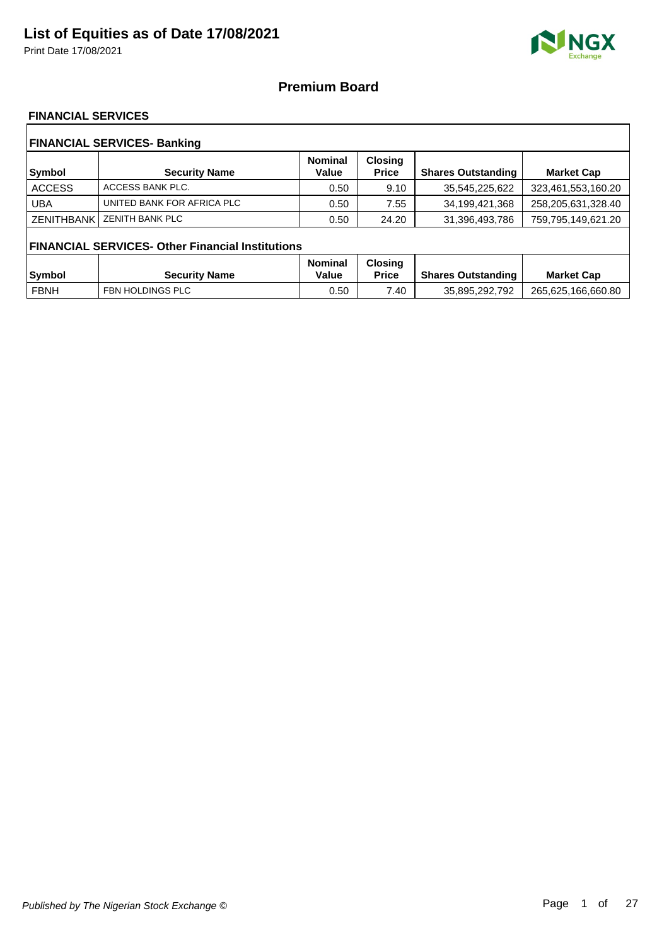Print Date 17/08/2021



### **Premium Board**

### **FINANCIAL SERVICES**

| <b>FINANCIAL SERVICES- Banking</b> |                                                         |                         |                                |                           |                    |  |  |
|------------------------------------|---------------------------------------------------------|-------------------------|--------------------------------|---------------------------|--------------------|--|--|
| Symbol                             | <b>Security Name</b>                                    | <b>Nominal</b><br>Value | <b>Closing</b><br><b>Price</b> | <b>Shares Outstanding</b> | <b>Market Cap</b>  |  |  |
| <b>ACCESS</b>                      | ACCESS BANK PLC.                                        | 0.50                    | 9.10                           | 35,545,225,622            | 323,461,553,160.20 |  |  |
| <b>UBA</b>                         | UNITED BANK FOR AFRICA PLC                              | 0.50                    | 7.55                           | 34,199,421,368            | 258,205,631,328.40 |  |  |
| <b>ZENITHBANK</b>                  | <b>ZENITH BANK PLC</b>                                  | 0.50                    | 24.20                          | 31,396,493,786            | 759,795,149,621.20 |  |  |
|                                    | <b>FINANCIAL SERVICES- Other Financial Institutions</b> |                         |                                |                           |                    |  |  |
|                                    |                                                         | <b>Nominal</b>          | <b>Closing</b>                 |                           |                    |  |  |
| <b>Symbol</b>                      | <b>Security Name</b>                                    | Value                   | <b>Price</b>                   | <b>Shares Outstanding</b> | <b>Market Cap</b>  |  |  |
| <b>FBNH</b>                        | FBN HOLDINGS PLC                                        | 0.50                    | 7.40                           | 35,895,292,792            | 265,625,166,660.80 |  |  |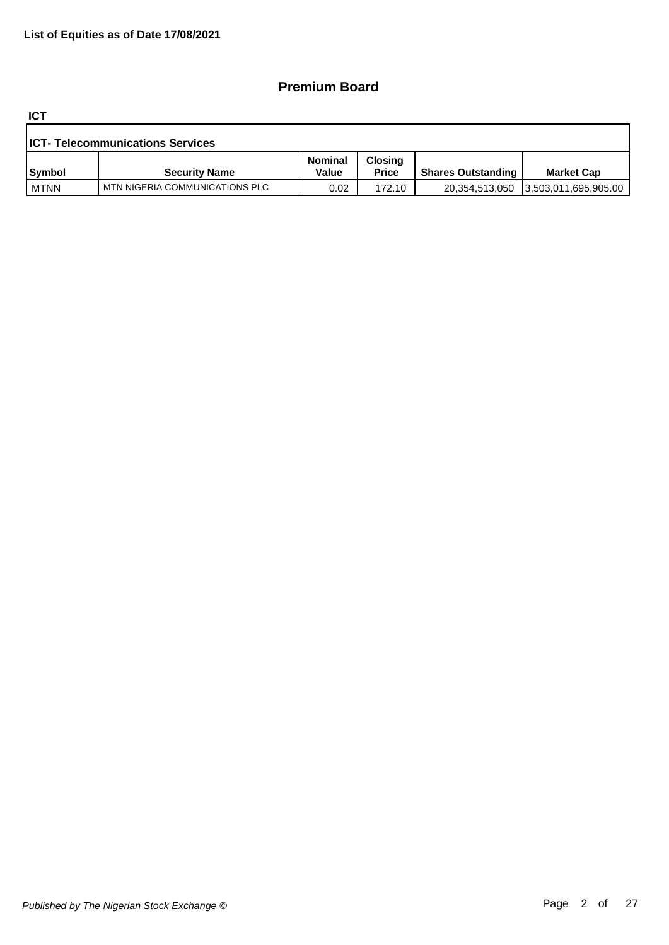### **Premium Board**

**ICT**

| <b>ICT- Telecommunications Services</b> |                                |                         |                                |                           |                      |  |
|-----------------------------------------|--------------------------------|-------------------------|--------------------------------|---------------------------|----------------------|--|
| <b>Symbol</b>                           | <b>Security Name</b>           | <b>Nominal</b><br>Value | <b>Closing</b><br><b>Price</b> | <b>Shares Outstanding</b> | <b>Market Cap</b>    |  |
| l MTNN                                  | MTN NIGERIA COMMUNICATIONS PLC | 0.02                    | 172.10                         | 20,354,513,050            | 3,503,011,695,905.00 |  |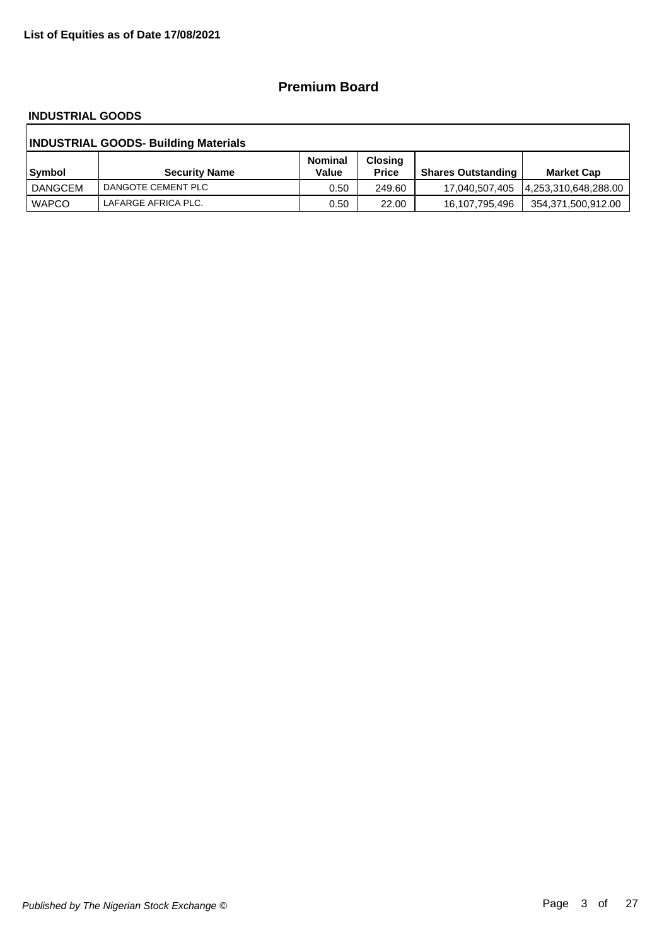### **Premium Board**

#### **INDUSTRIAL GOODS**

| <b>INDUSTRIAL GOODS- Building Materials</b> |                      |                         |                                |                           |                      |  |  |
|---------------------------------------------|----------------------|-------------------------|--------------------------------|---------------------------|----------------------|--|--|
| Symbol                                      | <b>Security Name</b> | <b>Nominal</b><br>Value | <b>Closing</b><br><b>Price</b> | <b>Shares Outstanding</b> | <b>Market Cap</b>    |  |  |
| DANGCEM                                     | DANGOTE CEMENT PLC   | 0.50                    | 249.60                         | 17,040,507,405            | 4,253,310,648,288.00 |  |  |
| <b>WAPCO</b>                                | LAFARGE AFRICA PLC.  | 0.50                    | 22.00                          | 16,107,795,496            | 354,371,500,912.00   |  |  |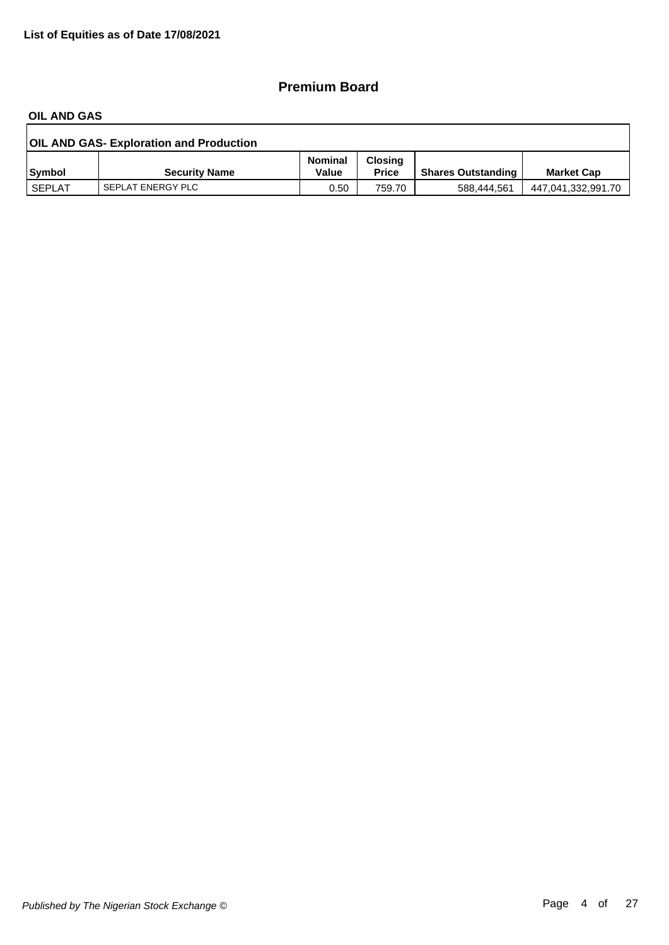### **Premium Board**

#### **OIL AND GAS**

| <b>OIL AND GAS- Exploration and Production</b> |                      |                         |                                |                           |                    |  |  |
|------------------------------------------------|----------------------|-------------------------|--------------------------------|---------------------------|--------------------|--|--|
| <b>Symbol</b>                                  | <b>Security Name</b> | <b>Nominal</b><br>Value | <b>Closing</b><br><b>Price</b> | <b>Shares Outstanding</b> | <b>Market Cap</b>  |  |  |
| i SEPLAT                                       | SEPLAT ENERGY PLC    | 0.50                    | 759.70                         | 588.444.561               | 447,041,332,991.70 |  |  |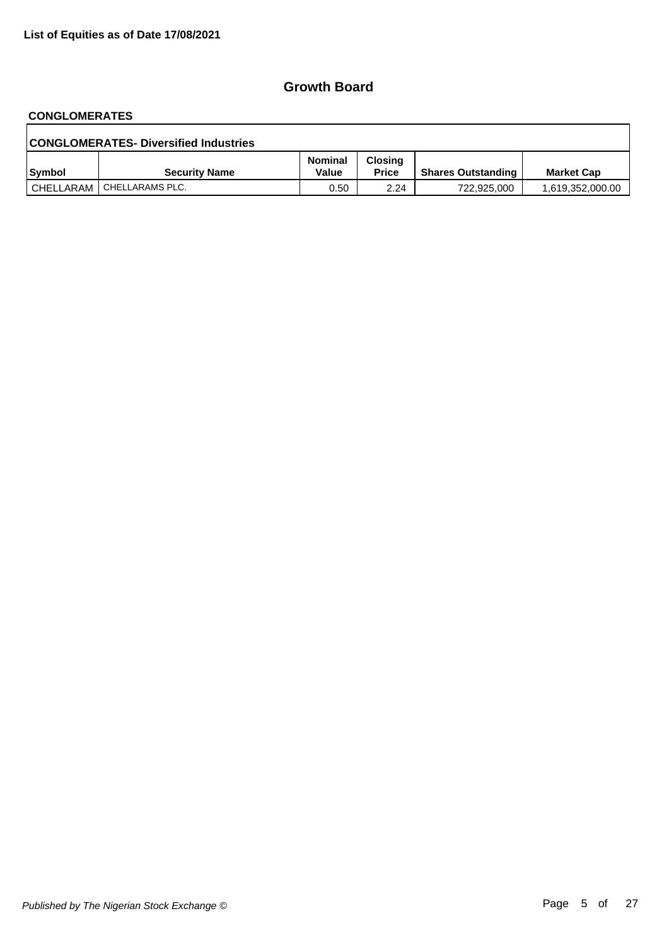# **CONGLOMERATES**

| <b>CONGLOMERATES- Diversified Industries</b> |                             |                  |                         |                           |                   |  |  |
|----------------------------------------------|-----------------------------|------------------|-------------------------|---------------------------|-------------------|--|--|
| <b>Symbol</b>                                | <b>Security Name</b>        | Nominal<br>Value | Closina<br><b>Price</b> | <b>Shares Outstanding</b> | <b>Market Cap</b> |  |  |
|                                              | CHELLARAM   CHELLARAMS PLC. | 0.50             | 2.24                    | 722.925.000               | 1,619,352,000.00  |  |  |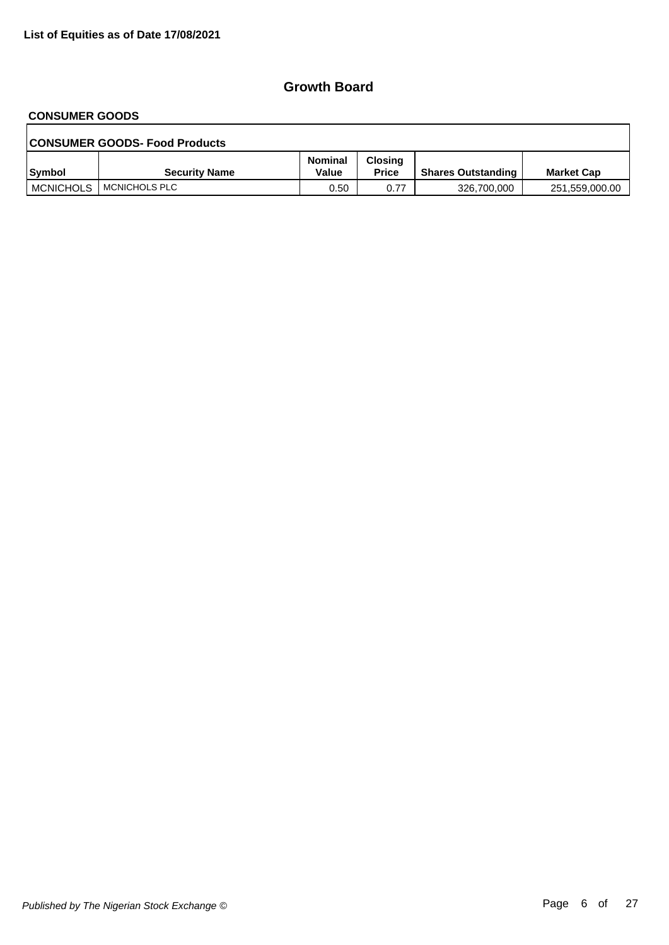# **CONSUMER GOODS**

| <b>CONSUMER GOODS- Food Products</b> |                      |                         |                         |                           |                   |  |  |
|--------------------------------------|----------------------|-------------------------|-------------------------|---------------------------|-------------------|--|--|
| Symbol                               | <b>Security Name</b> | <b>Nominal</b><br>Value | Closing<br><b>Price</b> | <b>Shares Outstanding</b> | <b>Market Cap</b> |  |  |
| <b>MCNICHOLS</b>                     | I MCNICHOLS PLC      | 0.50                    | 0.77                    | 326,700,000               | 251,559,000.00    |  |  |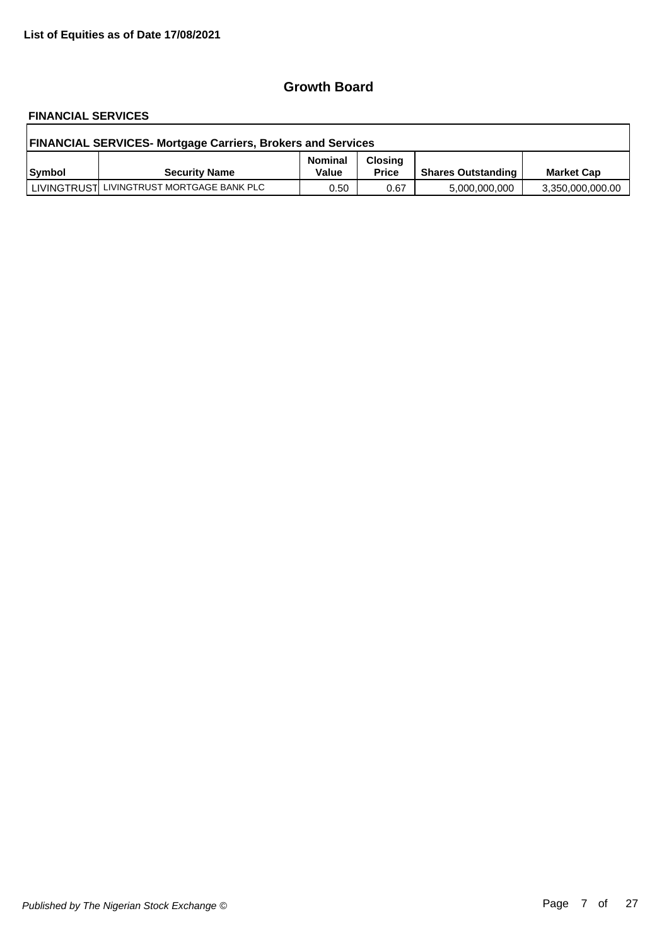# **FINANCIAL SERVICES**

| <b>FINANCIAL SERVICES- Mortgage Carriers, Brokers and Services</b> |                                           |                         |                                |                           |                   |  |  |
|--------------------------------------------------------------------|-------------------------------------------|-------------------------|--------------------------------|---------------------------|-------------------|--|--|
| Symbol                                                             | <b>Security Name</b>                      | <b>Nominal</b><br>Value | <b>Closing</b><br><b>Price</b> | <b>Shares Outstanding</b> | <b>Market Cap</b> |  |  |
|                                                                    | LIVINGTRUST LIVINGTRUST MORTGAGE BANK PLC | 0.50                    | 0.67                           | 5,000,000,000             | 3,350,000,000.00  |  |  |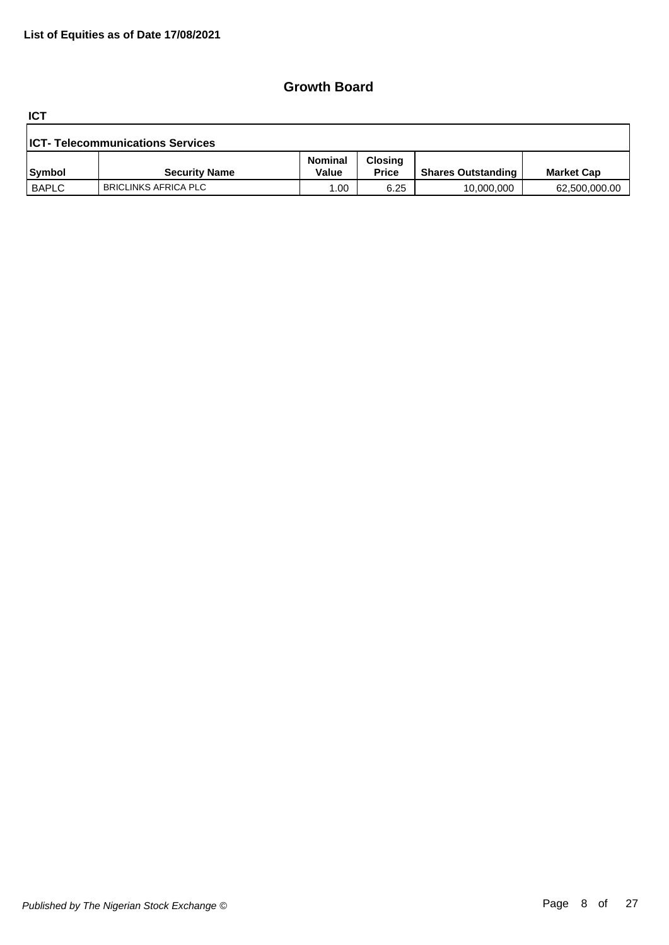**ICT**

| <b>ICT- Telecommunications Services</b> |                      |                         |                                |                           |                   |  |  |
|-----------------------------------------|----------------------|-------------------------|--------------------------------|---------------------------|-------------------|--|--|
| Symbol                                  | <b>Security Name</b> | <b>Nominal</b><br>Value | <b>Closing</b><br><b>Price</b> | <b>Shares Outstanding</b> | <b>Market Cap</b> |  |  |
| <b>BAPLC</b>                            | BRICLINKS AFRICA PLC | .00                     | 6.25                           | 10,000,000                | 62,500,000.00     |  |  |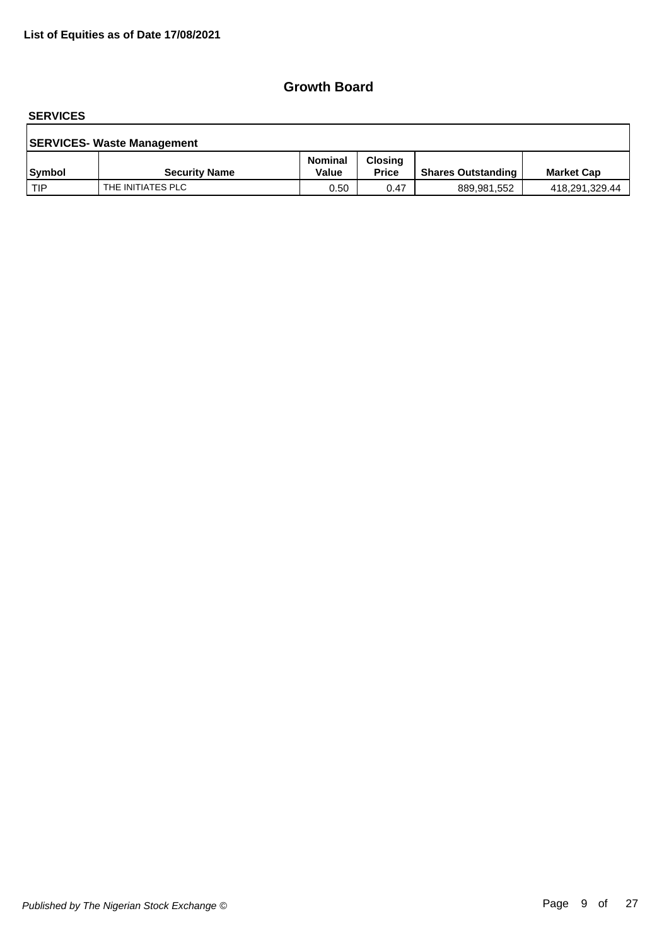#### **SERVICES**

| <b>SERVICES- Waste Management</b> |                      |                         |                                |                           |                   |  |  |
|-----------------------------------|----------------------|-------------------------|--------------------------------|---------------------------|-------------------|--|--|
| <b>Symbol</b>                     | <b>Security Name</b> | <b>Nominal</b><br>Value | <b>Closing</b><br><b>Price</b> | <b>Shares Outstanding</b> | <b>Market Cap</b> |  |  |
| l TIP                             | THE INITIATES PLC    | 0.50                    | 0.47                           | 889,981,552               | 418,291,329.44    |  |  |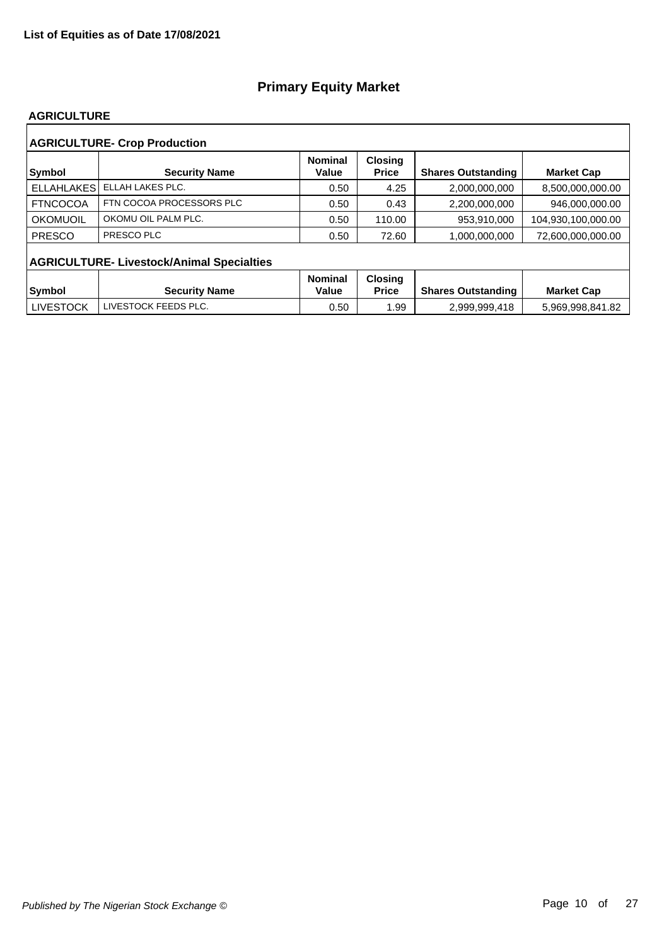#### **AGRICULTURE**

| <b>AGRICULTURE- Crop Production</b> |                                                  |                         |                                |                           |                    |  |  |  |  |
|-------------------------------------|--------------------------------------------------|-------------------------|--------------------------------|---------------------------|--------------------|--|--|--|--|
| <b>Symbol</b>                       | <b>Security Name</b>                             | <b>Nominal</b><br>Value | <b>Closing</b><br><b>Price</b> | <b>Shares Outstanding</b> | <b>Market Cap</b>  |  |  |  |  |
| <b>ELLAHLAKES</b>                   | ELLAH LAKES PLC.                                 | 0.50                    | 4.25                           | 2,000,000,000             | 8,500,000,000.00   |  |  |  |  |
| <b>FTNCOCOA</b>                     | FTN COCOA PROCESSORS PLC                         | 0.50                    | 0.43                           | 2,200,000,000             | 946,000,000.00     |  |  |  |  |
| OKOMUOIL                            | OKOMU OIL PALM PLC.                              | 0.50                    | 110.00                         | 953,910,000               | 104,930,100,000.00 |  |  |  |  |
| <b>PRESCO</b>                       | PRESCO PLC                                       | 0.50                    | 72.60                          | 1,000,000,000             | 72,600,000,000.00  |  |  |  |  |
|                                     | <b>AGRICULTURE- Livestock/Animal Specialties</b> |                         |                                |                           |                    |  |  |  |  |
|                                     |                                                  | <b>Nominal</b>          | <b>Closing</b>                 |                           |                    |  |  |  |  |
| Symbol                              | <b>Security Name</b>                             | Value                   | <b>Price</b>                   | <b>Shares Outstanding</b> | <b>Market Cap</b>  |  |  |  |  |
| <b>LIVESTOCK</b>                    | LIVESTOCK FEEDS PLC.                             | 0.50                    | 1.99                           | 2,999,999,418             | 5,969,998,841.82   |  |  |  |  |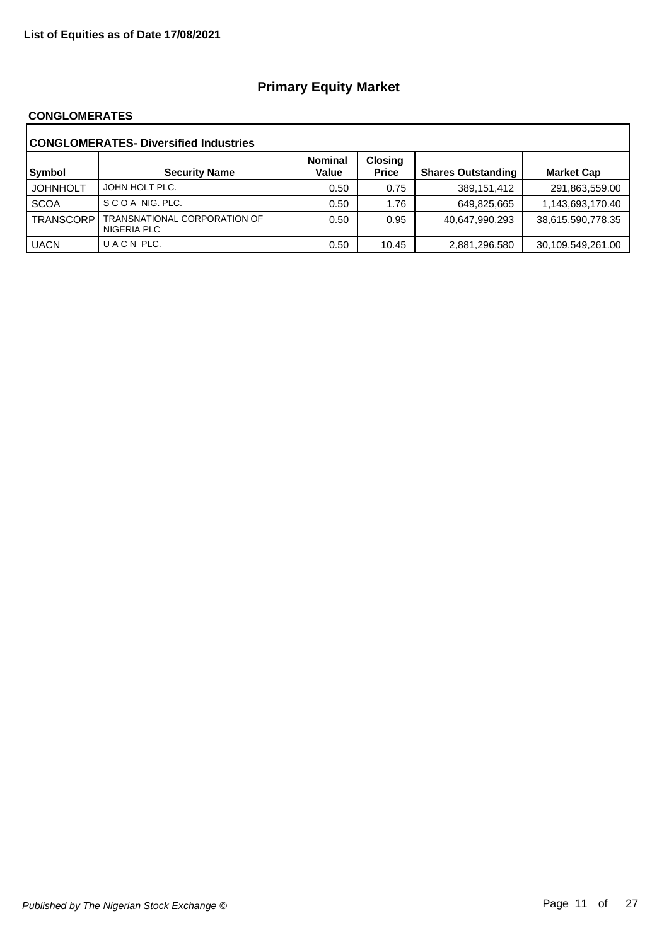#### **CONGLOMERATES**

| <b>CONGLOMERATES- Diversified Industries</b> |                                             |                         |                                |                           |                   |  |  |
|----------------------------------------------|---------------------------------------------|-------------------------|--------------------------------|---------------------------|-------------------|--|--|
| Symbol                                       | <b>Security Name</b>                        | <b>Nominal</b><br>Value | <b>Closing</b><br><b>Price</b> | <b>Shares Outstanding</b> | <b>Market Cap</b> |  |  |
| <b>JOHNHOLT</b>                              | JOHN HOLT PLC.                              | 0.50                    | 0.75                           | 389,151,412               | 291,863,559.00    |  |  |
| <b>SCOA</b>                                  | SCOA NIG. PLC.                              | 0.50                    | 1.76                           | 649,825,665               | 1,143,693,170.40  |  |  |
| <b>TRANSCORP</b>                             | TRANSNATIONAL CORPORATION OF<br>NIGERIA PLC | 0.50                    | 0.95                           | 40,647,990,293            | 38,615,590,778.35 |  |  |
| <b>UACN</b>                                  | UACN PLC.                                   | 0.50                    | 10.45                          | 2,881,296,580             | 30,109,549,261.00 |  |  |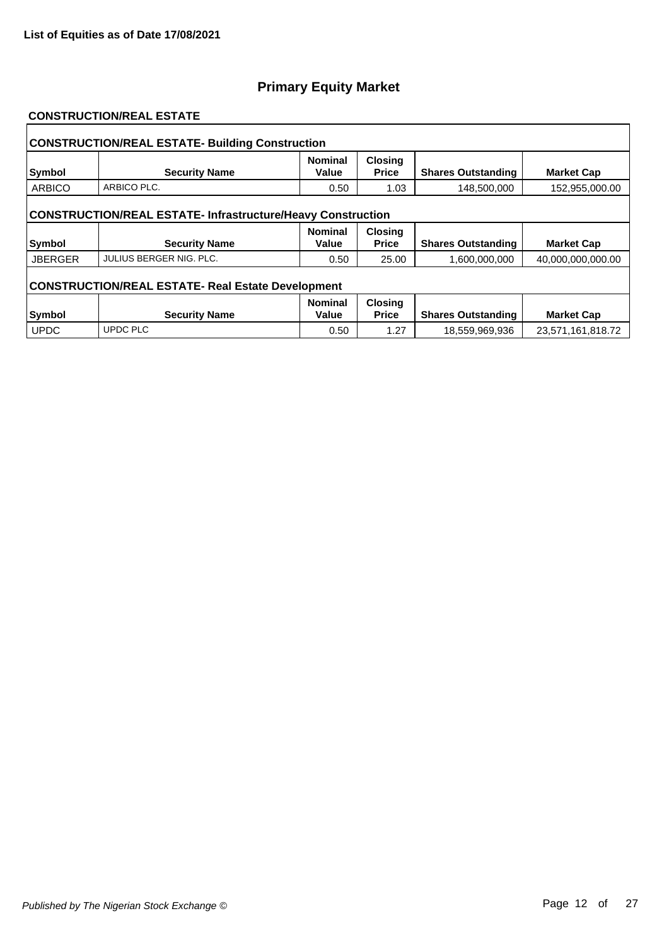#### **CONSTRUCTION/REAL ESTATE**

| <b>CONSTRUCTION/REAL ESTATE- Building Construction</b>             |                                |                         |                                |                           |                   |  |  |  |
|--------------------------------------------------------------------|--------------------------------|-------------------------|--------------------------------|---------------------------|-------------------|--|--|--|
| Symbol                                                             | <b>Security Name</b>           | <b>Nominal</b><br>Value | <b>Closing</b><br><b>Price</b> | <b>Shares Outstanding</b> | <b>Market Cap</b> |  |  |  |
| <b>ARBICO</b>                                                      | ARBICO PLC.                    | 0.50                    | 1.03                           | 148,500,000               | 152,955,000.00    |  |  |  |
| <b>CONSTRUCTION/REAL ESTATE- Infrastructure/Heavy Construction</b> |                                |                         |                                |                           |                   |  |  |  |
| Symbol                                                             | <b>Security Name</b>           | <b>Nominal</b><br>Value | <b>Closing</b><br><b>Price</b> | <b>Shares Outstanding</b> | <b>Market Cap</b> |  |  |  |
| <b>JBERGER</b>                                                     | <b>JULIUS BERGER NIG. PLC.</b> | 0.50                    | 25.00                          | 1,600,000,000             | 40,000,000,000.00 |  |  |  |
| <b>CONSTRUCTION/REAL ESTATE- Real Estate Development</b>           |                                |                         |                                |                           |                   |  |  |  |
|                                                                    |                                | <b>Nominal</b>          | <b>Closing</b><br><b>Price</b> |                           |                   |  |  |  |
| Symbol                                                             | <b>Security Name</b>           | Value                   |                                | <b>Shares Outstanding</b> | <b>Market Cap</b> |  |  |  |
| <b>UPDC</b>                                                        | <b>UPDC PLC</b>                | 0.50                    | 1.27                           | 18,559,969,936            | 23,571,161,818.72 |  |  |  |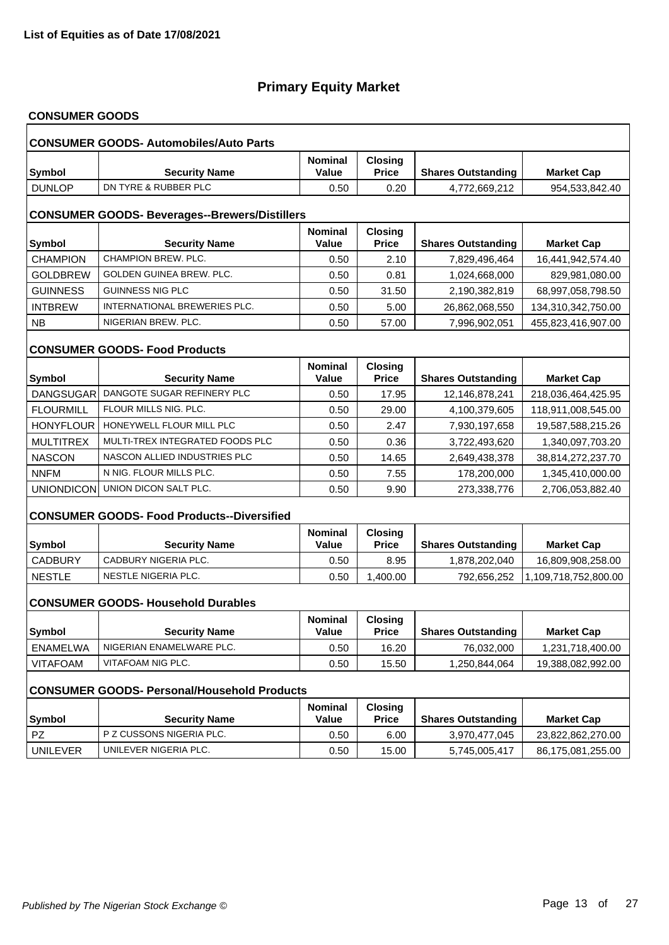# **CONSUMER GOODS**

|                                                      | <b>CONSUMER GOODS- Automobiles/Auto Parts</b>      |                                |                                |                           |                      |  |  |  |  |
|------------------------------------------------------|----------------------------------------------------|--------------------------------|--------------------------------|---------------------------|----------------------|--|--|--|--|
| <b>Symbol</b>                                        | <b>Security Name</b>                               | <b>Nominal</b><br>Value        | <b>Closing</b><br><b>Price</b> | <b>Shares Outstanding</b> | <b>Market Cap</b>    |  |  |  |  |
| <b>DUNLOP</b>                                        | DN TYRE & RUBBER PLC                               | 0.50                           | 0.20                           | 4,772,669,212             | 954,533,842.40       |  |  |  |  |
| <b>CONSUMER GOODS- Beverages--Brewers/Distillers</b> |                                                    |                                |                                |                           |                      |  |  |  |  |
| <b>Symbol</b>                                        | <b>Security Name</b>                               | <b>Nominal</b><br>Value        | <b>Closing</b><br><b>Price</b> | <b>Shares Outstanding</b> | <b>Market Cap</b>    |  |  |  |  |
| <b>CHAMPION</b>                                      | CHAMPION BREW, PLC.                                | 0.50                           | 2.10                           | 7,829,496,464             | 16,441,942,574.40    |  |  |  |  |
| <b>GOLDBREW</b>                                      | GOLDEN GUINEA BREW. PLC.                           | 0.50                           | 0.81                           | 1,024,668,000             | 829,981,080.00       |  |  |  |  |
| <b>GUINNESS</b>                                      | <b>GUINNESS NIG PLC</b>                            | 0.50                           | 31.50                          | 2,190,382,819             | 68,997,058,798.50    |  |  |  |  |
| <b>INTBREW</b>                                       | INTERNATIONAL BREWERIES PLC.                       | 0.50                           | 5.00                           | 26,862,068,550            | 134,310,342,750.00   |  |  |  |  |
| <b>NB</b>                                            | NIGERIAN BREW. PLC.                                | 0.50                           | 57.00                          | 7,996,902,051             | 455,823,416,907.00   |  |  |  |  |
|                                                      | <b>CONSUMER GOODS- Food Products</b>               |                                |                                |                           |                      |  |  |  |  |
| Symbol                                               | <b>Security Name</b>                               | <b>Nominal</b><br><b>Value</b> | <b>Closing</b><br><b>Price</b> | <b>Shares Outstanding</b> | <b>Market Cap</b>    |  |  |  |  |
| DANGSUGAR                                            | DANGOTE SUGAR REFINERY PLC                         | 0.50                           | 17.95                          | 12,146,878,241            | 218,036,464,425.95   |  |  |  |  |
| <b>FLOURMILL</b>                                     | FLOUR MILLS NIG. PLC.                              | 0.50                           | 29.00                          | 4,100,379,605             | 118,911,008,545.00   |  |  |  |  |
| <b>HONYFLOUR</b>                                     | HONEYWELL FLOUR MILL PLC                           | 0.50                           | 2.47                           | 7,930,197,658             | 19,587,588,215.26    |  |  |  |  |
| <b>MULTITREX</b>                                     | MULTI-TREX INTEGRATED FOODS PLC                    | 0.50                           | 0.36                           | 3,722,493,620             | 1,340,097,703.20     |  |  |  |  |
| <b>NASCON</b>                                        | NASCON ALLIED INDUSTRIES PLC                       | 0.50                           | 14.65                          | 2,649,438,378             | 38,814,272,237.70    |  |  |  |  |
| <b>NNFM</b>                                          | N NIG. FLOUR MILLS PLC.                            | 0.50                           | 7.55                           | 178,200,000               | 1,345,410,000.00     |  |  |  |  |
| UNIONDICON                                           | UNION DICON SALT PLC.                              | 0.50                           | 9.90                           | 273,338,776               | 2,706,053,882.40     |  |  |  |  |
|                                                      | <b>CONSUMER GOODS- Food Products--Diversified</b>  |                                |                                |                           |                      |  |  |  |  |
| <b>Symbol</b>                                        | <b>Security Name</b>                               | Nominal<br>Value               | <b>Closing</b><br><b>Price</b> | <b>Shares Outstanding</b> | <b>Market Cap</b>    |  |  |  |  |
| <b>CADBURY</b>                                       | CADBURY NIGERIA PLC.                               | 0.50                           | 8.95                           | 1,878,202,040             | 16,809,908,258.00    |  |  |  |  |
| <b>NESTLE</b>                                        | NESTLE NIGERIA PLC.                                | 0.50                           | 1,400.00                       | 792,656,252               | 1,109,718,752,800.00 |  |  |  |  |
|                                                      | <b>CONSUMER GOODS- Household Durables</b>          |                                |                                |                           |                      |  |  |  |  |
| Symbol                                               | <b>Security Name</b>                               | <b>Nominal</b><br>Value        | <b>Closing</b><br><b>Price</b> | <b>Shares Outstanding</b> | <b>Market Cap</b>    |  |  |  |  |
| <b>ENAMELWA</b>                                      | NIGERIAN ENAMELWARE PLC.                           | 0.50                           | 16.20                          | 76,032,000                | 1,231,718,400.00     |  |  |  |  |
| <b>VITAFOAM</b>                                      | VITAFOAM NIG PLC.                                  | 0.50                           | 15.50                          | 1,250,844,064             | 19,388,082,992.00    |  |  |  |  |
|                                                      | <b>CONSUMER GOODS- Personal/Household Products</b> |                                |                                |                           |                      |  |  |  |  |
| <b>Symbol</b>                                        | <b>Security Name</b>                               | Nominal<br><b>Value</b>        | <b>Closing</b><br><b>Price</b> | <b>Shares Outstanding</b> | <b>Market Cap</b>    |  |  |  |  |
| <b>PZ</b>                                            | P Z CUSSONS NIGERIA PLC.                           | 0.50                           | 6.00                           | 3,970,477,045             | 23,822,862,270.00    |  |  |  |  |
| <b>UNILEVER</b>                                      | UNILEVER NIGERIA PLC.                              | 0.50                           | 15.00                          | 5,745,005,417             | 86,175,081,255.00    |  |  |  |  |
|                                                      |                                                    |                                |                                |                           |                      |  |  |  |  |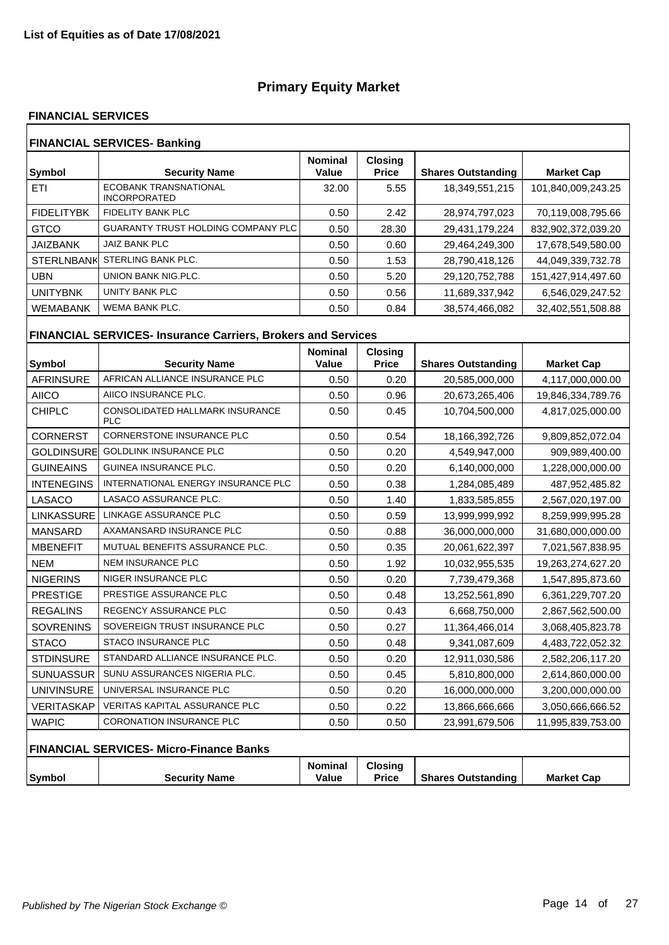#### **FINANCIAL SERVICES**

| <b>FINANCIAL SERVICES- Banking</b> |                                                     |                         |                                |                           |                    |  |  |
|------------------------------------|-----------------------------------------------------|-------------------------|--------------------------------|---------------------------|--------------------|--|--|
| Symbol                             | <b>Security Name</b>                                | <b>Nominal</b><br>Value | <b>Closing</b><br><b>Price</b> | <b>Shares Outstanding</b> | <b>Market Cap</b>  |  |  |
| ETI                                | <b>ECOBANK TRANSNATIONAL</b><br><b>INCORPORATED</b> | 32.00                   | 5.55                           | 18,349,551,215            | 101,840,009,243.25 |  |  |
| <b>FIDELITYBK</b>                  | <b>FIDELITY BANK PLC</b>                            | 0.50                    | 2.42                           | 28,974,797,023            | 70,119,008,795.66  |  |  |
| <b>GTCO</b>                        | <b>GUARANTY TRUST HOLDING COMPANY PLC</b>           | 0.50                    | 28.30                          | 29,431,179,224            | 832,902,372,039.20 |  |  |
| <b>JAIZBANK</b>                    | <b>JAIZ BANK PLC</b>                                | 0.50                    | 0.60                           | 29,464,249,300            | 17,678,549,580.00  |  |  |
| <b>STERLNBANK</b>                  | STERLING BANK PLC.                                  | 0.50                    | 1.53                           | 28,790,418,126            | 44,049,339,732.78  |  |  |
| UBN                                | UNION BANK NIG.PLC.                                 | 0.50                    | 5.20                           | 29,120,752,788            | 151,427,914,497.60 |  |  |
| <b>UNITYBNK</b>                    | <b>UNITY BANK PLC</b>                               | 0.50                    | 0.56                           | 11,689,337,942            | 6,546,029,247.52   |  |  |
| <b>WEMABANK</b>                    | WEMA BANK PLC.                                      | 0.50                    | 0.84                           | 38,574,466,082            | 32,402,551,508.88  |  |  |

# **FINANCIAL SERVICES- Insurance Carriers, Brokers and Services**

| <b>Symbol</b>     | <b>Security Name</b>                                 | <b>Nominal</b><br>Value | <b>Closing</b><br><b>Price</b> | <b>Shares Outstanding</b> | <b>Market Cap</b> |
|-------------------|------------------------------------------------------|-------------------------|--------------------------------|---------------------------|-------------------|
| <b>AFRINSURE</b>  | AFRICAN ALLIANCE INSURANCE PLC                       | 0.50                    | 0.20                           | 20,585,000,000            | 4,117,000,000.00  |
| <b>AIICO</b>      | AIICO INSURANCE PLC.                                 | 0.50                    | 0.96                           | 20,673,265,406            | 19,846,334,789.76 |
| <b>CHIPLC</b>     | <b>CONSOLIDATED HALLMARK INSURANCE</b><br><b>PLC</b> | 0.50                    | 0.45                           | 10,704,500,000            | 4,817,025,000.00  |
| <b>CORNERST</b>   | <b>CORNERSTONE INSURANCE PLC</b>                     | 0.50                    | 0.54                           | 18,166,392,726            | 9,809,852,072.04  |
| <b>GOLDINSURE</b> | <b>GOLDLINK INSURANCE PLC</b>                        | 0.50                    | 0.20                           | 4,549,947,000             | 909,989,400.00    |
| <b>GUINEAINS</b>  | <b>GUINEA INSURANCE PLC.</b>                         | 0.50                    | 0.20                           | 6,140,000,000             | 1,228,000,000.00  |
| <b>INTENEGINS</b> | INTERNATIONAL ENERGY INSURANCE PLC                   | 0.50                    | 0.38                           | 1,284,085,489             | 487,952,485.82    |
| LASACO            | LASACO ASSURANCE PLC.                                | 0.50                    | 1.40                           | 1,833,585,855             | 2,567,020,197.00  |
| LINKASSURE        | LINKAGE ASSURANCE PLC                                | 0.50                    | 0.59                           | 13,999,999,992            | 8,259,999,995.28  |
| <b>MANSARD</b>    | AXAMANSARD INSURANCE PLC                             | 0.50                    | 0.88                           | 36,000,000,000            | 31,680,000,000.00 |
| <b>MBENEFIT</b>   | MUTUAL BENEFITS ASSURANCE PLC.                       | 0.50                    | 0.35                           | 20,061,622,397            | 7,021,567,838.95  |
| <b>NEM</b>        | <b>NEM INSURANCE PLC</b>                             | 0.50                    | 1.92                           | 10,032,955,535            | 19,263,274,627.20 |
| <b>NIGERINS</b>   | NIGER INSURANCE PLC                                  | 0.50                    | 0.20                           | 7,739,479,368             | 1,547,895,873.60  |
| <b>PRESTIGE</b>   | PRESTIGE ASSURANCE PLC                               | 0.50                    | 0.48                           | 13,252,561,890            | 6,361,229,707.20  |
| <b>REGALINS</b>   | <b>REGENCY ASSURANCE PLC</b>                         | 0.50                    | 0.43                           | 6,668,750,000             | 2,867,562,500.00  |
| <b>SOVRENINS</b>  | SOVEREIGN TRUST INSURANCE PLC                        | 0.50                    | 0.27                           | 11,364,466,014            | 3,068,405,823.78  |
| <b>STACO</b>      | <b>STACO INSURANCE PLC</b>                           | 0.50                    | 0.48                           | 9,341,087,609             | 4,483,722,052.32  |
| <b>STDINSURE</b>  | STANDARD ALLIANCE INSURANCE PLC.                     | 0.50                    | 0.20                           | 12,911,030,586            | 2,582,206,117.20  |
| <b>SUNUASSUR</b>  | SUNU ASSURANCES NIGERIA PLC.                         | 0.50                    | 0.45                           | 5,810,800,000             | 2,614,860,000.00  |
| <b>UNIVINSURE</b> | UNIVERSAL INSURANCE PLC                              | 0.50                    | 0.20                           | 16,000,000,000            | 3,200,000,000.00  |
| VERITASKAP        | <b>VERITAS KAPITAL ASSURANCE PLC</b>                 | 0.50                    | 0.22                           | 13,866,666,666            | 3,050,666,666.52  |
| <b>WAPIC</b>      | <b>CORONATION INSURANCE PLC</b>                      | 0.50                    | 0.50                           | 23,991,679,506            | 11,995,839,753.00 |
|                   | FINANCIAL SERVICES- Micro-Finance Banks              |                         |                                |                           |                   |
| Symbol            | <b>Security Name</b>                                 | <b>Nominal</b><br>Value | <b>Closing</b><br><b>Price</b> | <b>Shares Outstanding</b> | <b>Market Cap</b> |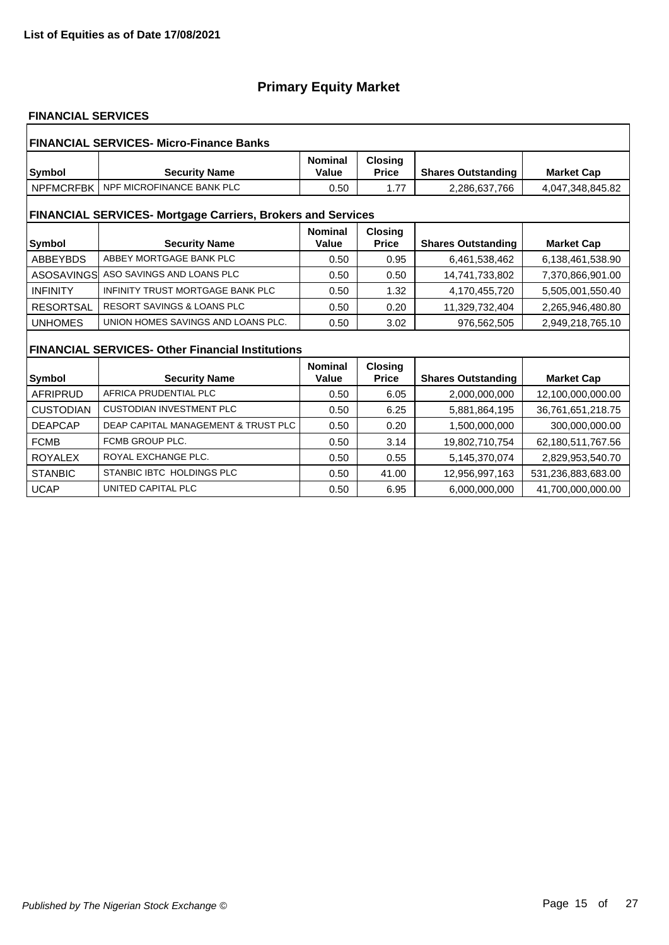### **FINANCIAL SERVICES**

| <b>FINANCIAL SERVICES- Micro-Finance Banks</b> |                                                                    |                         |                                |                           |                    |  |  |  |
|------------------------------------------------|--------------------------------------------------------------------|-------------------------|--------------------------------|---------------------------|--------------------|--|--|--|
| Symbol                                         | <b>Security Name</b>                                               | <b>Nominal</b><br>Value | <b>Closing</b><br><b>Price</b> | <b>Shares Outstanding</b> | <b>Market Cap</b>  |  |  |  |
| <b>NPFMCRFBK</b>                               | NPF MICROFINANCE BANK PLC                                          | 0.50                    | 1.77                           | 2,286,637,766             | 4,047,348,845.82   |  |  |  |
|                                                | <b>FINANCIAL SERVICES- Mortgage Carriers, Brokers and Services</b> |                         |                                |                           |                    |  |  |  |
| <b>Symbol</b>                                  | <b>Security Name</b>                                               | <b>Nominal</b><br>Value | <b>Closing</b><br><b>Price</b> | <b>Shares Outstanding</b> | <b>Market Cap</b>  |  |  |  |
| <b>ABBEYBDS</b>                                | ABBEY MORTGAGE BANK PLC                                            | 0.50                    | 0.95                           | 6,461,538,462             | 6,138,461,538.90   |  |  |  |
| ASOSAVINGS                                     | ASO SAVINGS AND LOANS PLC                                          | 0.50                    | 0.50                           | 14,741,733,802            | 7,370,866,901.00   |  |  |  |
| <b>INFINITY</b>                                | INFINITY TRUST MORTGAGE BANK PLC                                   | 0.50                    | 1.32                           | 4,170,455,720             | 5,505,001,550.40   |  |  |  |
| <b>RESORTSAL</b>                               | <b>RESORT SAVINGS &amp; LOANS PLC</b>                              | 0.50                    | 0.20                           | 11,329,732,404            | 2,265,946,480.80   |  |  |  |
| <b>UNHOMES</b>                                 | UNION HOMES SAVINGS AND LOANS PLC.                                 | 0.50                    | 3.02                           | 976,562,505               | 2,949,218,765.10   |  |  |  |
|                                                | <b>FINANCIAL SERVICES- Other Financial Institutions</b>            |                         |                                |                           |                    |  |  |  |
|                                                |                                                                    | <b>Nominal</b>          | <b>Closing</b>                 |                           |                    |  |  |  |
| Symbol                                         | <b>Security Name</b>                                               | Value                   | <b>Price</b>                   | <b>Shares Outstanding</b> | <b>Market Cap</b>  |  |  |  |
| <b>AFRIPRUD</b>                                | AFRICA PRUDENTIAL PLC                                              | 0.50                    | 6.05                           | 2,000,000,000             | 12,100,000,000.00  |  |  |  |
| <b>CUSTODIAN</b>                               | <b>CUSTODIAN INVESTMENT PLC</b>                                    | 0.50                    | 6.25                           | 5,881,864,195             | 36,761,651,218.75  |  |  |  |
| <b>DEAPCAP</b>                                 | DEAP CAPITAL MANAGEMENT & TRUST PLC                                | 0.50                    | 0.20                           | 1,500,000,000             | 300,000,000.00     |  |  |  |
| <b>FCMB</b>                                    | FCMB GROUP PLC.                                                    | 0.50                    | 3.14                           | 19,802,710,754            | 62,180,511,767.56  |  |  |  |
| <b>ROYALEX</b>                                 | ROYAL EXCHANGE PLC.                                                | 0.50                    | 0.55                           | 5,145,370,074             | 2,829,953,540.70   |  |  |  |
| <b>STANBIC</b>                                 | STANBIC IBTC HOLDINGS PLC                                          | 0.50                    | 41.00                          | 12,956,997,163            | 531,236,883,683.00 |  |  |  |
| <b>UCAP</b>                                    | UNITED CAPITAL PLC                                                 | 0.50                    | 6.95                           | 6.000.000.000             | 41.700.000.000.00  |  |  |  |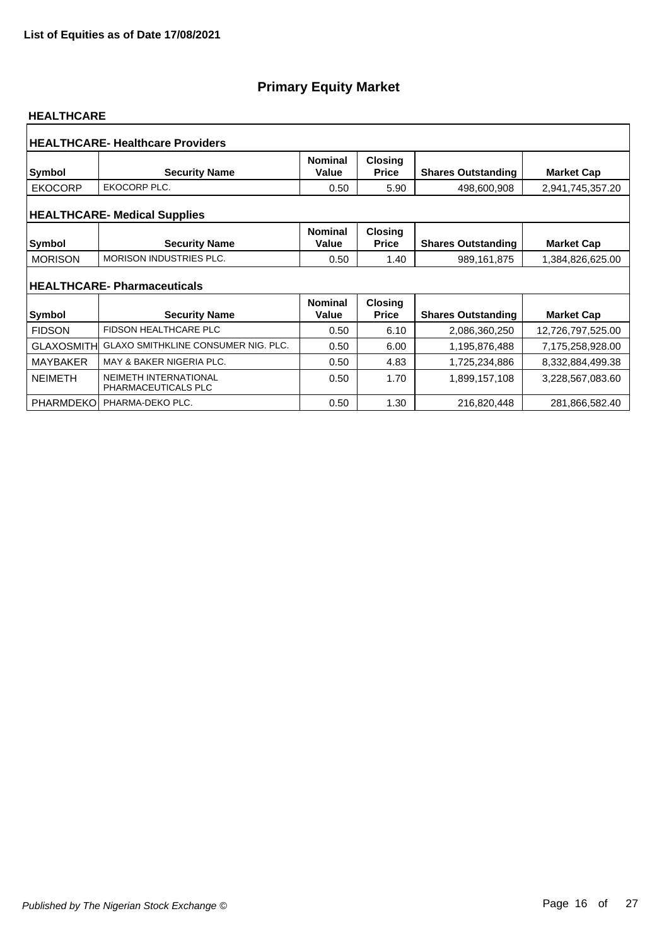#### **HEALTHCARE**

|                   | <b>HEALTHCARE-Healthcare Providers</b>                    |                         |                                |                           |                   |
|-------------------|-----------------------------------------------------------|-------------------------|--------------------------------|---------------------------|-------------------|
| Symbol            | <b>Security Name</b>                                      | <b>Nominal</b><br>Value | <b>Closing</b><br><b>Price</b> | <b>Shares Outstanding</b> | <b>Market Cap</b> |
| <b>EKOCORP</b>    | EKOCORP PLC.                                              | 0.50                    | 5.90                           | 498,600,908               | 2,941,745,357.20  |
|                   | <b>HEALTHCARE- Medical Supplies</b>                       |                         |                                |                           |                   |
| <b>Symbol</b>     | <b>Security Name</b>                                      | <b>Nominal</b><br>Value | <b>Closing</b><br><b>Price</b> | <b>Shares Outstanding</b> | <b>Market Cap</b> |
| <b>MORISON</b>    | <b>MORISON INDUSTRIES PLC.</b>                            | 0.50                    | 1.40                           | 989,161,875               | 1,384,826,625.00  |
| <b>Symbol</b>     | <b>HEALTHCARE-Pharmaceuticals</b><br><b>Security Name</b> | <b>Nominal</b><br>Value | <b>Closing</b><br><b>Price</b> | <b>Shares Outstanding</b> | <b>Market Cap</b> |
| <b>FIDSON</b>     | <b>FIDSON HEALTHCARE PLC</b>                              | 0.50                    | 6.10                           | 2,086,360,250             | 12,726,797,525.00 |
| <b>GLAXOSMITH</b> | <b>GLAXO SMITHKLINE CONSUMER NIG. PLC.</b>                | 0.50                    | 6.00                           | 1,195,876,488             | 7,175,258,928.00  |
| <b>MAYBAKER</b>   | MAY & BAKER NIGERIA PLC.                                  | 0.50                    | 4.83                           | 1,725,234,886             | 8,332,884,499.38  |
| <b>NEIMETH</b>    | <b>NEIMETH INTERNATIONAL</b><br>PHARMACEUTICALS PLC       | 0.50                    | 1.70                           | 1,899,157,108             | 3,228,567,083.60  |
| <b>PHARMDEKO</b>  | PHARMA-DEKO PLC.                                          | 0.50                    | 1.30                           | 216,820,448               | 281,866,582.40    |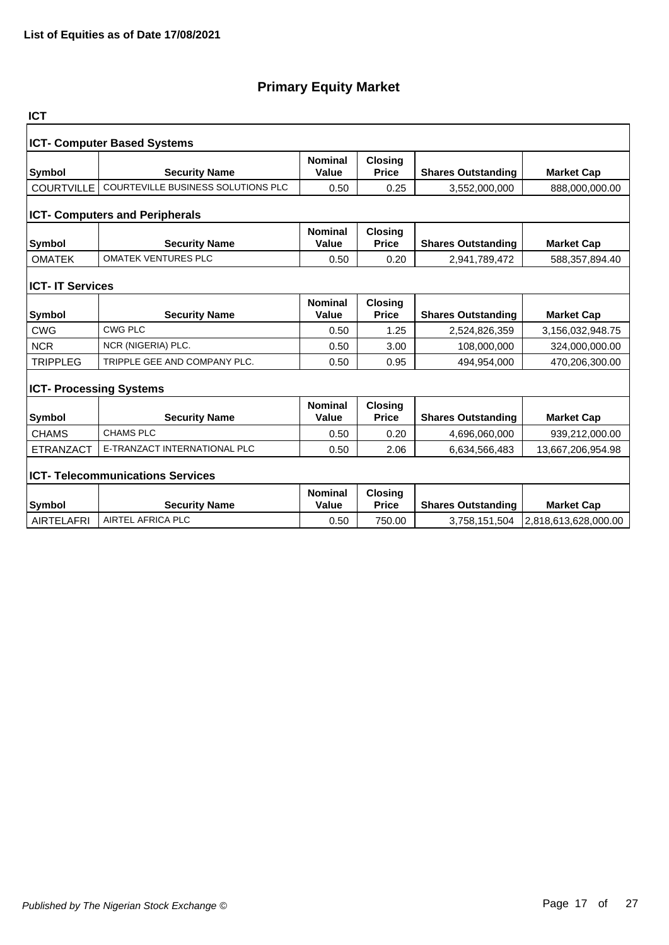| <b>ICT</b>                         |                                           |                         |                                |                           |                      |  |  |  |  |
|------------------------------------|-------------------------------------------|-------------------------|--------------------------------|---------------------------|----------------------|--|--|--|--|
| <b>ICT- Computer Based Systems</b> |                                           |                         |                                |                           |                      |  |  |  |  |
| <b>Symbol</b>                      | <b>Security Name</b>                      | <b>Nominal</b><br>Value | <b>Closing</b><br><b>Price</b> | <b>Shares Outstanding</b> | <b>Market Cap</b>    |  |  |  |  |
| <b>COURTVILLE</b>                  | <b>COURTEVILLE BUSINESS SOLUTIONS PLC</b> | 0.50                    | 0.25                           | 3,552,000,000             | 888,000,000.00       |  |  |  |  |
|                                    | <b>ICT- Computers and Peripherals</b>     |                         |                                |                           |                      |  |  |  |  |
| <b>Symbol</b>                      | <b>Security Name</b>                      | <b>Nominal</b><br>Value | <b>Closing</b><br><b>Price</b> | <b>Shares Outstanding</b> | <b>Market Cap</b>    |  |  |  |  |
| <b>OMATEK</b>                      | <b>OMATEK VENTURES PLC</b>                | 0.50                    | 0.20                           | 2,941,789,472             | 588,357,894.40       |  |  |  |  |
| <b>ICT- IT Services</b>            |                                           |                         |                                |                           |                      |  |  |  |  |
| <b>Symbol</b>                      | <b>Security Name</b>                      | <b>Nominal</b><br>Value | <b>Closing</b><br><b>Price</b> | <b>Shares Outstanding</b> | <b>Market Cap</b>    |  |  |  |  |
| <b>CWG</b>                         | <b>CWG PLC</b>                            | 0.50                    | 1.25                           | 2,524,826,359             | 3,156,032,948.75     |  |  |  |  |
| <b>NCR</b>                         | NCR (NIGERIA) PLC.                        | 0.50                    | 3.00                           | 108,000,000               | 324,000,000.00       |  |  |  |  |
| <b>TRIPPLEG</b>                    | TRIPPLE GEE AND COMPANY PLC.              | 0.50                    | 0.95                           | 494,954,000               | 470,206,300.00       |  |  |  |  |
| <b>ICT- Processing Systems</b>     |                                           |                         |                                |                           |                      |  |  |  |  |
| <b>Symbol</b>                      | <b>Security Name</b>                      | <b>Nominal</b><br>Value | Closing<br><b>Price</b>        | <b>Shares Outstanding</b> | <b>Market Cap</b>    |  |  |  |  |
| <b>CHAMS</b>                       | <b>CHAMS PLC</b>                          | 0.50                    | 0.20                           | 4,696,060,000             | 939,212,000.00       |  |  |  |  |
| <b>ETRANZACT</b>                   | E-TRANZACT INTERNATIONAL PLC              | 0.50                    | 2.06                           | 6,634,566,483             | 13,667,206,954.98    |  |  |  |  |
|                                    | <b>ICT- Telecommunications Services</b>   |                         |                                |                           |                      |  |  |  |  |
| <b>Symbol</b>                      | <b>Security Name</b>                      | <b>Nominal</b><br>Value | <b>Closing</b><br><b>Price</b> | <b>Shares Outstanding</b> | <b>Market Cap</b>    |  |  |  |  |
| <b>AIRTELAFRI</b>                  | AIRTEL AFRICA PLC                         | 0.50                    | 750.00                         | 3,758,151,504             | 2,818,613,628,000.00 |  |  |  |  |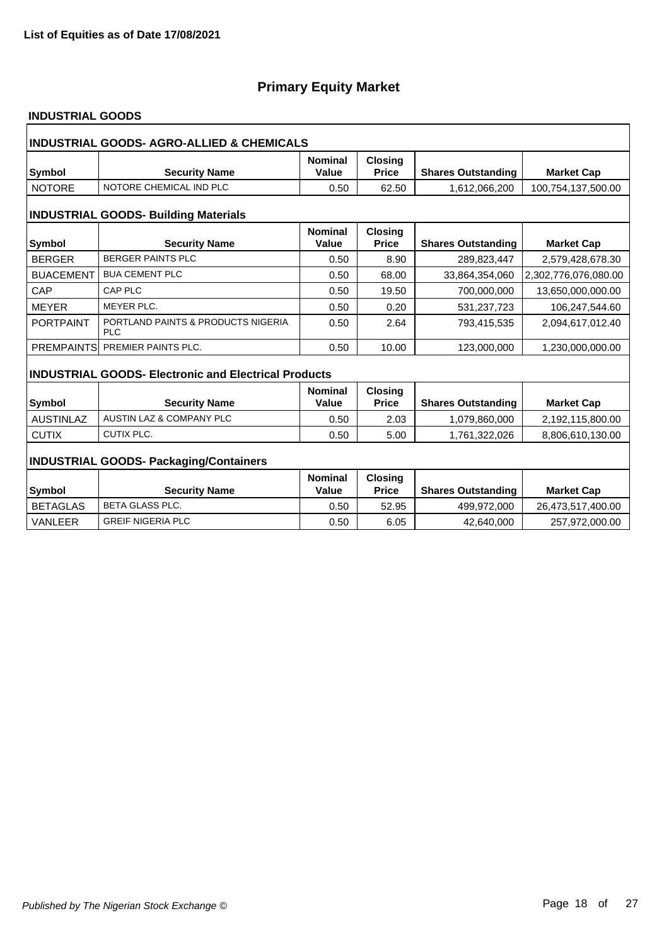### **INDUSTRIAL GOODS**

| INDUSTRIAL GOODS- AGRO-ALLIED & CHEMICALS   |                                                             |                         |                                |                           |                      |  |  |
|---------------------------------------------|-------------------------------------------------------------|-------------------------|--------------------------------|---------------------------|----------------------|--|--|
| Symbol                                      | <b>Security Name</b>                                        | <b>Nominal</b><br>Value | <b>Closing</b><br><b>Price</b> | <b>Shares Outstanding</b> | <b>Market Cap</b>    |  |  |
| <b>NOTORE</b>                               | NOTORE CHEMICAL IND PLC                                     | 0.50                    | 62.50                          | 1,612,066,200             | 100,754,137,500.00   |  |  |
| <b>INDUSTRIAL GOODS- Building Materials</b> |                                                             |                         |                                |                           |                      |  |  |
| <b>Symbol</b>                               | <b>Security Name</b>                                        | <b>Nominal</b><br>Value | <b>Closing</b><br><b>Price</b> | <b>Shares Outstanding</b> | <b>Market Cap</b>    |  |  |
| <b>BERGER</b>                               | <b>BERGER PAINTS PLC</b>                                    | 0.50                    | 8.90                           | 289,823,447               | 2,579,428,678.30     |  |  |
| <b>BUACEMENT</b>                            | <b>BUA CEMENT PLC</b>                                       | 0.50                    | 68.00                          | 33,864,354,060            | 2,302,776,076,080.00 |  |  |
| CAP                                         | <b>CAP PLC</b>                                              | 0.50                    | 19.50                          | 700,000,000               | 13,650,000,000.00    |  |  |
| <b>MEYER</b>                                | MEYER PLC.                                                  | 0.50                    | 0.20                           | 531,237,723               | 106,247,544.60       |  |  |
| <b>PORTPAINT</b>                            | PORTLAND PAINTS & PRODUCTS NIGERIA<br><b>PLC</b>            | 0.50                    | 2.64                           | 793,415,535               | 2,094,617,012.40     |  |  |
|                                             | PREMPAINTS PREMIER PAINTS PLC.                              | 0.50                    | 10.00                          | 123,000,000               | 1,230,000,000.00     |  |  |
|                                             | <b>INDUSTRIAL GOODS- Electronic and Electrical Products</b> |                         |                                |                           |                      |  |  |
|                                             |                                                             | <b>Nominal</b>          | <b>Closing</b>                 |                           |                      |  |  |
| Symbol                                      | <b>Security Name</b>                                        | Value                   | <b>Price</b>                   | <b>Shares Outstanding</b> | <b>Market Cap</b>    |  |  |
| <b>AUSTINLAZ</b>                            | AUSTIN LAZ & COMPANY PLC                                    | 0.50                    | 2.03                           | 1,079,860,000             | 2,192,115,800.00     |  |  |
| <b>CUTIX</b>                                | CUTIX PLC.                                                  | 0.50                    | 5.00                           | 1,761,322,026             | 8,806,610,130.00     |  |  |
|                                             | <b>INDUSTRIAL GOODS- Packaging/Containers</b>               |                         |                                |                           |                      |  |  |
|                                             |                                                             | <b>Nominal</b>          | <b>Closing</b>                 |                           |                      |  |  |
| Symbol                                      | <b>Security Name</b>                                        | Value                   | <b>Price</b>                   | <b>Shares Outstanding</b> | <b>Market Cap</b>    |  |  |
| <b>BETAGLAS</b>                             | <b>BETA GLASS PLC.</b>                                      | 0.50                    | 52.95                          | 499,972,000               | 26,473,517,400.00    |  |  |
| <b>VANLEER</b>                              | <b>GREIF NIGERIA PLC</b>                                    | 0.50                    | 6.05                           | 42,640,000                | 257,972,000.00       |  |  |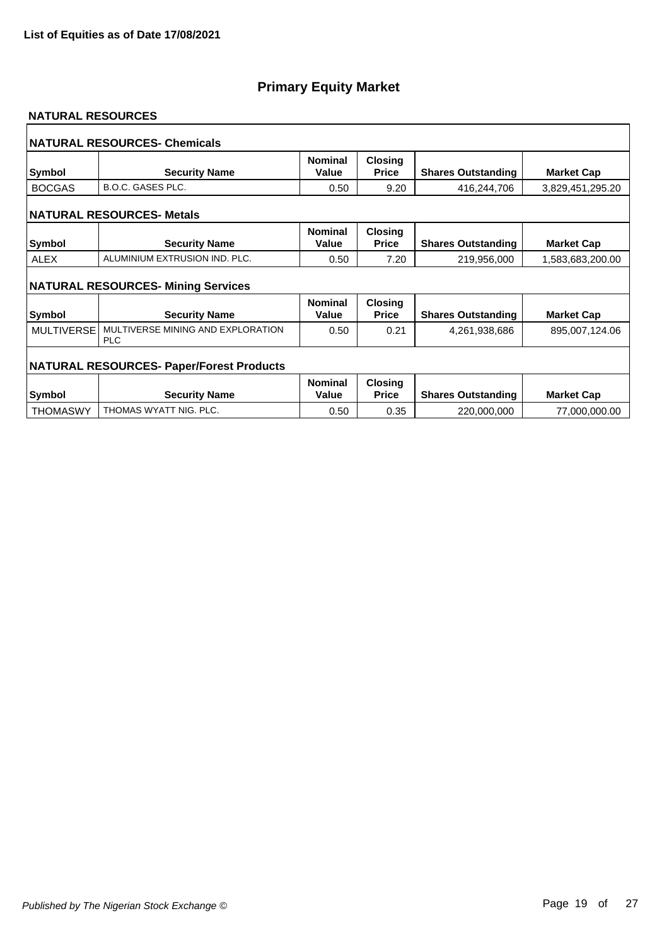#### **NATURAL RESOURCES**

|                   | <b>NATURAL RESOURCES- Chemicals</b>             |                         |                                |                           |                   |
|-------------------|-------------------------------------------------|-------------------------|--------------------------------|---------------------------|-------------------|
| <b>Symbol</b>     | <b>Security Name</b>                            | <b>Nominal</b><br>Value | <b>Closing</b><br><b>Price</b> | <b>Shares Outstanding</b> | <b>Market Cap</b> |
| <b>BOCGAS</b>     | <b>B.O.C. GASES PLC.</b>                        | 0.50                    | 9.20                           | 416,244,706               | 3,829,451,295.20  |
|                   | <b>NATURAL RESOURCES- Metals</b>                |                         |                                |                           |                   |
| <b>Symbol</b>     | <b>Security Name</b>                            | <b>Nominal</b><br>Value | Closing<br><b>Price</b>        | <b>Shares Outstanding</b> | <b>Market Cap</b> |
| <b>ALEX</b>       | ALUMINIUM EXTRUSION IND. PLC.                   | 0.50                    | 7.20                           | 219,956,000               | 1,583,683,200.00  |
|                   | <b>NATURAL RESOURCES- Mining Services</b>       |                         |                                |                           |                   |
| <b>Symbol</b>     | <b>Security Name</b>                            | <b>Nominal</b><br>Value | <b>Closing</b><br><b>Price</b> | <b>Shares Outstanding</b> | <b>Market Cap</b> |
| <b>MULTIVERSE</b> | MULTIVERSE MINING AND EXPLORATION<br><b>PLC</b> | 0.50                    | 0.21                           | 4,261,938,686             | 895,007,124.06    |
|                   | <b>NATURAL RESOURCES- Paper/Forest Products</b> |                         |                                |                           |                   |
| <b>Symbol</b>     | <b>Security Name</b>                            | <b>Nominal</b><br>Value | <b>Closing</b><br><b>Price</b> | <b>Shares Outstanding</b> | <b>Market Cap</b> |
| <b>THOMASWY</b>   | THOMAS WYATT NIG. PLC.                          | 0.50                    | 0.35                           | 220,000,000               | 77,000,000.00     |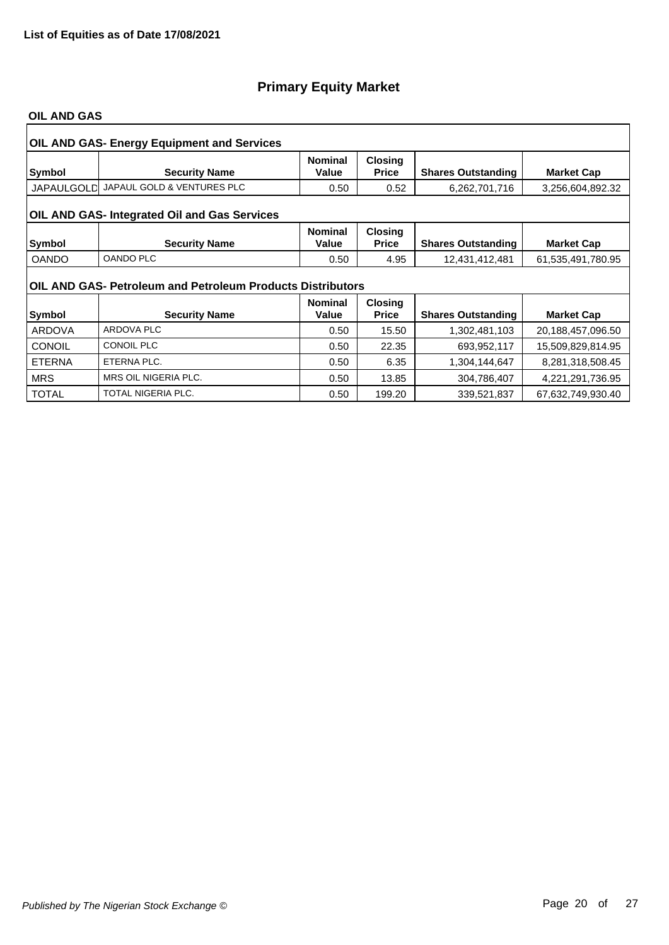#### **OIL AND GAS**

|               | <b>OIL AND GAS- Energy Equipment and Services</b>          |                         |                                |                           |                   |  |  |  |  |
|---------------|------------------------------------------------------------|-------------------------|--------------------------------|---------------------------|-------------------|--|--|--|--|
| Symbol        | <b>Security Name</b>                                       | <b>Nominal</b><br>Value | <b>Closing</b><br><b>Price</b> | <b>Shares Outstanding</b> | <b>Market Cap</b> |  |  |  |  |
| JAPAULGOLD    | JAPAUL GOLD & VENTURES PLC                                 | 0.50                    | 0.52                           | 6,262,701,716             | 3,256,604,892.32  |  |  |  |  |
|               | OIL AND GAS- Integrated Oil and Gas Services               |                         |                                |                           |                   |  |  |  |  |
| Symbol        | <b>Security Name</b>                                       | <b>Nominal</b><br>Value | <b>Closing</b><br><b>Price</b> | <b>Shares Outstanding</b> | <b>Market Cap</b> |  |  |  |  |
| <b>OANDO</b>  | <b>OANDO PLC</b>                                           | 0.50                    | 4.95                           | 12,431,412,481            | 61,535,491,780.95 |  |  |  |  |
|               | OIL AND GAS- Petroleum and Petroleum Products Distributors |                         |                                |                           |                   |  |  |  |  |
|               |                                                            | <b>Nominal</b>          | <b>Closing</b>                 |                           |                   |  |  |  |  |
| Symbol        | <b>Security Name</b>                                       | Value                   | <b>Price</b>                   | <b>Shares Outstanding</b> | <b>Market Cap</b> |  |  |  |  |
| <b>ARDOVA</b> | <b>ARDOVA PLC</b>                                          | 0.50                    | 15.50                          | 1,302,481,103             | 20,188,457,096.50 |  |  |  |  |
| <b>CONOIL</b> | <b>CONOIL PLC</b>                                          | 0.50                    | 22.35                          | 693,952,117               | 15,509,829,814.95 |  |  |  |  |
| <b>ETERNA</b> | ETERNA PLC.                                                | 0.50                    | 6.35                           | 1,304,144,647             | 8,281,318,508.45  |  |  |  |  |
| <b>MRS</b>    | MRS OIL NIGERIA PLC.                                       | 0.50                    | 13.85                          | 304,786,407               | 4,221,291,736.95  |  |  |  |  |
| <b>TOTAL</b>  | TOTAL NIGERIA PLC.                                         | 0.50                    | 199.20                         | 339,521,837               | 67,632,749,930.40 |  |  |  |  |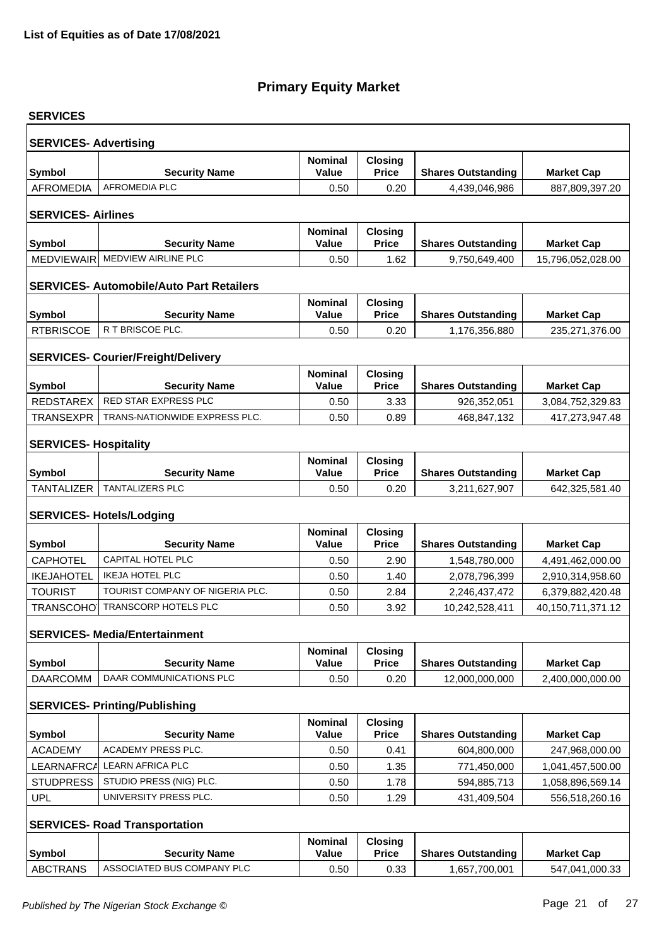| <b>SERVICES</b>              |                                                 |                                |                                |                           |                   |  |  |  |  |  |
|------------------------------|-------------------------------------------------|--------------------------------|--------------------------------|---------------------------|-------------------|--|--|--|--|--|
| <b>SERVICES- Advertising</b> |                                                 |                                |                                |                           |                   |  |  |  |  |  |
| Symbol                       | <b>Security Name</b>                            | <b>Nominal</b><br>Value        | Closing<br><b>Price</b>        | <b>Shares Outstanding</b> | <b>Market Cap</b> |  |  |  |  |  |
| <b>AFROMEDIA</b>             | <b>AFROMEDIA PLC</b>                            | 0.50                           | 0.20                           | 4,439,046,986             | 887,809,397.20    |  |  |  |  |  |
|                              |                                                 |                                |                                |                           |                   |  |  |  |  |  |
| <b>SERVICES-Airlines</b>     |                                                 |                                |                                |                           |                   |  |  |  |  |  |
| <b>Symbol</b>                | <b>Security Name</b>                            | <b>Nominal</b><br>Value        | <b>Closing</b><br><b>Price</b> | <b>Shares Outstanding</b> | <b>Market Cap</b> |  |  |  |  |  |
| <b>MEDVIEWAIR</b>            | MEDVIEW AIRLINE PLC                             | 0.50                           | 1.62                           | 9,750,649,400             | 15,796,052,028.00 |  |  |  |  |  |
|                              |                                                 |                                |                                |                           |                   |  |  |  |  |  |
|                              | <b>SERVICES- Automobile/Auto Part Retailers</b> |                                |                                |                           |                   |  |  |  |  |  |
|                              |                                                 | <b>Nominal</b>                 | <b>Closing</b>                 |                           |                   |  |  |  |  |  |
| <b>Symbol</b>                | <b>Security Name</b>                            | <b>Value</b>                   | <b>Price</b>                   | <b>Shares Outstanding</b> | <b>Market Cap</b> |  |  |  |  |  |
| <b>RTBRISCOE</b>             | R T BRISCOE PLC.                                | 0.50                           | 0.20                           | 1,176,356,880             | 235,271,376.00    |  |  |  |  |  |
|                              | <b>SERVICES- Courier/Freight/Delivery</b>       |                                |                                |                           |                   |  |  |  |  |  |
| Symbol                       | <b>Security Name</b>                            | <b>Nominal</b><br><b>Value</b> | <b>Closing</b><br><b>Price</b> | <b>Shares Outstanding</b> | <b>Market Cap</b> |  |  |  |  |  |
| REDSTAREX                    | RED STAR EXPRESS PLC                            | 0.50                           | 3.33                           | 926,352,051               | 3,084,752,329.83  |  |  |  |  |  |
| <b>TRANSEXPR</b>             | TRANS-NATIONWIDE EXPRESS PLC.                   | 0.50                           | 0.89                           | 468,847,132               | 417,273,947.48    |  |  |  |  |  |
|                              |                                                 |                                |                                |                           |                   |  |  |  |  |  |
| <b>SERVICES- Hospitality</b> |                                                 |                                |                                |                           |                   |  |  |  |  |  |
| Symbol                       | <b>Security Name</b>                            | <b>Nominal</b><br><b>Value</b> | <b>Closing</b><br><b>Price</b> | <b>Shares Outstanding</b> | <b>Market Cap</b> |  |  |  |  |  |
| <b>TANTALIZER</b>            | TANTALIZERS PLC                                 | 0.50                           | 0.20                           | 3,211,627,907             | 642,325,581.40    |  |  |  |  |  |
|                              |                                                 |                                |                                |                           |                   |  |  |  |  |  |
|                              | <b>SERVICES- Hotels/Lodging</b>                 |                                |                                |                           |                   |  |  |  |  |  |
| <b>Symbol</b>                | <b>Security Name</b>                            | <b>Nominal</b><br><b>Value</b> | <b>Closing</b><br><b>Price</b> | <b>Shares Outstanding</b> | <b>Market Cap</b> |  |  |  |  |  |
| <b>CAPHOTEL</b>              | CAPITAL HOTEL PLC                               | 0.50                           | 2.90                           | 1,548,780,000             | 4,491,462,000.00  |  |  |  |  |  |
| <b>IKEJAHOTEL</b>            | <b>IKEJA HOTEL PLC</b>                          | 0.50                           | 1.40                           | 2,078,796,399             | 2,910,314,958.60  |  |  |  |  |  |
| <b>TOURIST</b>               | TOURIST COMPANY OF NIGERIA PLC.                 | 0.50                           | 2.84                           | 2,246,437,472             | 6,379,882,420.48  |  |  |  |  |  |
| <b>TRANSCOHO</b>             | <b>TRANSCORP HOTELS PLC</b>                     | 0.50                           | 3.92                           | 10,242,528,411            | 40,150,711,371.12 |  |  |  |  |  |
|                              | <b>SERVICES- Media/Entertainment</b>            |                                |                                |                           |                   |  |  |  |  |  |
| Symbol                       | <b>Security Name</b>                            | <b>Nominal</b><br><b>Value</b> | <b>Closing</b><br><b>Price</b> | <b>Shares Outstanding</b> | <b>Market Cap</b> |  |  |  |  |  |
| <b>DAARCOMM</b>              | DAAR COMMUNICATIONS PLC                         | 0.50                           | 0.20                           | 12,000,000,000            | 2,400,000,000.00  |  |  |  |  |  |
|                              |                                                 |                                |                                |                           |                   |  |  |  |  |  |
|                              | <b>SERVICES- Printing/Publishing</b>            |                                |                                |                           |                   |  |  |  |  |  |
| <b>Symbol</b>                | <b>Security Name</b>                            | <b>Nominal</b><br>Value        | <b>Closing</b><br><b>Price</b> | <b>Shares Outstanding</b> | <b>Market Cap</b> |  |  |  |  |  |
| <b>ACADEMY</b>               | <b>ACADEMY PRESS PLC.</b>                       | 0.50                           | 0.41                           | 604,800,000               | 247,968,000.00    |  |  |  |  |  |
| LEARNAFRCA                   | <b>LEARN AFRICA PLC</b>                         | 0.50                           | 1.35                           | 771,450,000               | 1,041,457,500.00  |  |  |  |  |  |
| <b>STUDPRESS</b>             | STUDIO PRESS (NIG) PLC.                         | 0.50                           | 1.78                           | 594,885,713               | 1,058,896,569.14  |  |  |  |  |  |
| <b>UPL</b>                   | UNIVERSITY PRESS PLC.                           | 0.50                           | 1.29                           | 431,409,504               | 556,518,260.16    |  |  |  |  |  |
|                              |                                                 |                                |                                |                           |                   |  |  |  |  |  |
|                              | <b>SERVICES- Road Transportation</b>            |                                |                                |                           |                   |  |  |  |  |  |
| Symbol                       | <b>Security Name</b>                            | <b>Nominal</b><br><b>Value</b> | <b>Closing</b><br><b>Price</b> | <b>Shares Outstanding</b> | <b>Market Cap</b> |  |  |  |  |  |
| <b>ABCTRANS</b>              | ASSOCIATED BUS COMPANY PLC                      | 0.50                           | 0.33                           | 1,657,700,001             | 547,041,000.33    |  |  |  |  |  |
|                              |                                                 |                                |                                |                           |                   |  |  |  |  |  |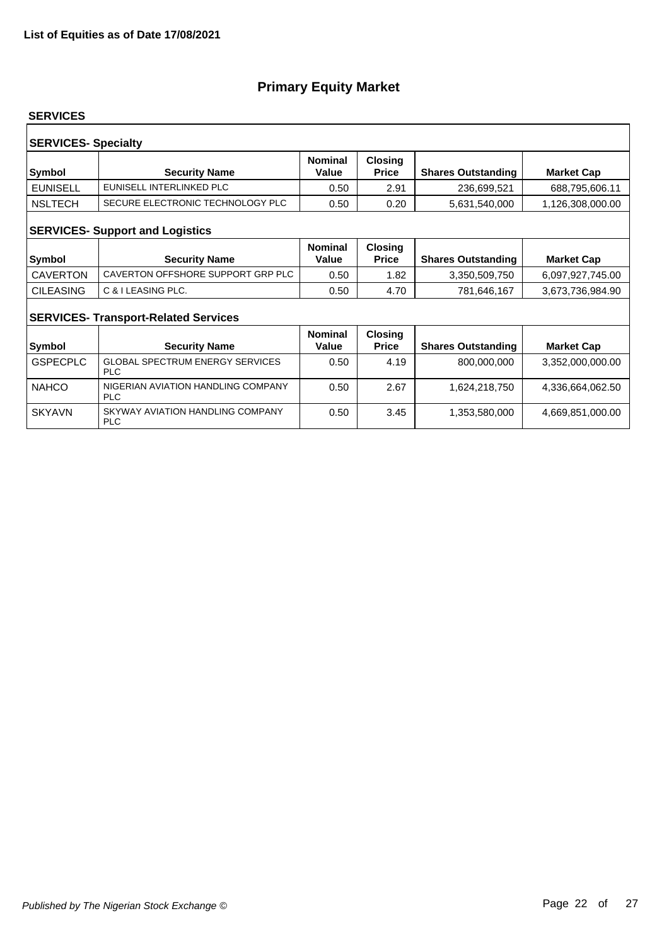#### **SERVICES**

| <b>SERVICES- Specialty</b><br><b>Nominal</b><br><b>Closing</b> |                                  |       |              |                           |                   |  |  |
|----------------------------------------------------------------|----------------------------------|-------|--------------|---------------------------|-------------------|--|--|
| Symbol                                                         | <b>Security Name</b>             | Value | <b>Price</b> | <b>Shares Outstanding</b> | <b>Market Cap</b> |  |  |
| <b>EUNISELL</b>                                                | EUNISELL INTERLINKED PLC         | 0.50  | 2.91         | 236,699,521               | 688,795,606.11    |  |  |
| <b>NSLTECH</b>                                                 | SECURE ELECTRONIC TECHNOLOGY PLC | 0.50  | 0.20         | 5,631,540,000             | 1,126,308,000.00  |  |  |
| <b>SERVICES- Support and Logistics</b>                         |                                  |       |              |                           |                   |  |  |

| Symbol           | <b>Security Name</b>              | <b>Nominal</b><br>Value | <b>Closing</b><br>Price | <b>Shares Outstanding</b> | <b>Market Cap</b> |
|------------------|-----------------------------------|-------------------------|-------------------------|---------------------------|-------------------|
| CAVERTON         | CAVERTON OFFSHORE SUPPORT GRP PLC | 0.50                    | 1.82                    | 3.350.509.750             | 6,097,927,745.00  |
| <b>CILEASING</b> | C & I LEASING PLC.                | 0.50                    | 4.70                    | 781,646,167               | 3,673,736,984.90  |

### **SERVICES- Transport-Related Services**

| <b>Symbol</b>   | <b>Security Name</b>                                 | <b>Nominal</b><br>Value | <b>Closing</b><br><b>Price</b> | <b>Shares Outstanding</b> | <b>Market Cap</b> |
|-----------------|------------------------------------------------------|-------------------------|--------------------------------|---------------------------|-------------------|
| <b>GSPECPLC</b> | <b>GLOBAL SPECTRUM ENERGY SERVICES</b><br><b>PLC</b> | 0.50                    | 4.19                           | 800,000,000               | 3,352,000,000.00  |
| <b>NAHCO</b>    | NIGERIAN AVIATION HANDLING COMPANY<br><b>PLC</b>     | 0.50                    | 2.67                           | 1,624,218,750             | 4,336,664,062.50  |
| <b>SKYAVN</b>   | SKYWAY AVIATION HANDLING COMPANY<br><b>PLC</b>       | 0.50                    | 3.45                           | 1,353,580,000             | 4,669,851,000.00  |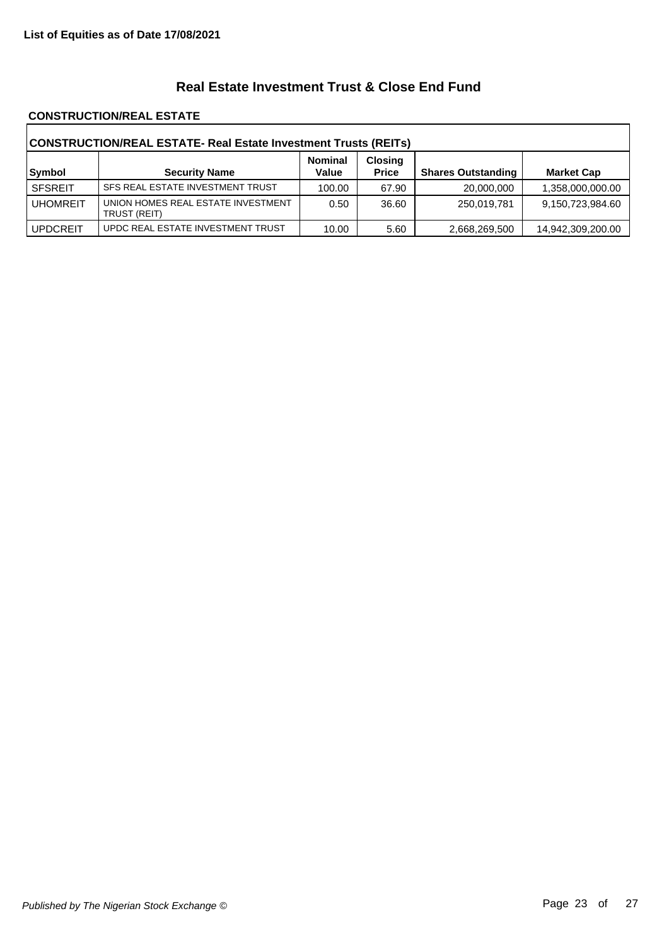### **Real Estate Investment Trust & Close End Fund**

#### **CONSTRUCTION/REAL ESTATE**

| CONSTRUCTION/REAL ESTATE- Real Estate Investment Trusts (REITs) |                                                    |                         |                                |                           |                   |  |
|-----------------------------------------------------------------|----------------------------------------------------|-------------------------|--------------------------------|---------------------------|-------------------|--|
| Symbol                                                          | <b>Security Name</b>                               | <b>Nominal</b><br>Value | <b>Closing</b><br><b>Price</b> | <b>Shares Outstanding</b> | <b>Market Cap</b> |  |
| <b>SFSREIT</b>                                                  | SFS REAL ESTATE INVESTMENT TRUST                   | 100.00                  | 67.90                          | 20,000,000                | 1,358,000,000.00  |  |
| <b>UHOMREIT</b>                                                 | UNION HOMES REAL ESTATE INVESTMENT<br>TRUST (REIT) | 0.50                    | 36.60                          | 250,019,781               | 9,150,723,984.60  |  |
| <b>UPDCREIT</b>                                                 | UPDC REAL ESTATE INVESTMENT TRUST                  | 10.00                   | 5.60                           | 2,668,269,500             | 14,942,309,200.00 |  |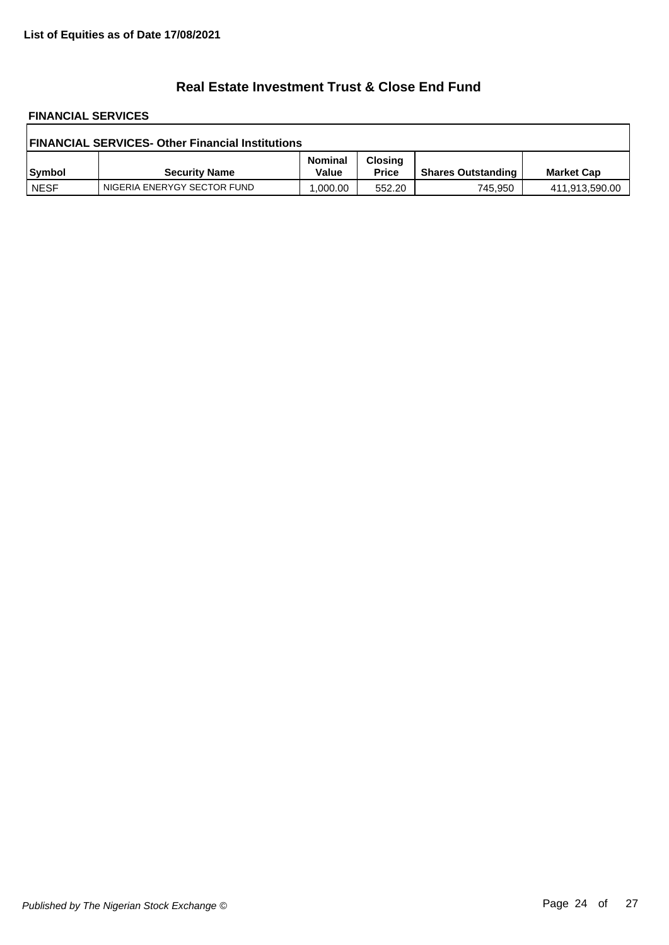### **Real Estate Investment Trust & Close End Fund**

# **FINANCIAL SERVICES**

| <b>FINANCIAL SERVICES- Other Financial Institutions</b> |                             |                         |                                |                           |                   |  |
|---------------------------------------------------------|-----------------------------|-------------------------|--------------------------------|---------------------------|-------------------|--|
| Symbol                                                  | <b>Security Name</b>        | <b>Nominal</b><br>Value | <b>Closing</b><br><b>Price</b> | <b>Shares Outstanding</b> | <b>Market Cap</b> |  |
| <b>NESF</b>                                             | NIGERIA ENERYGY SECTOR FUND | 0.000.00                | 552.20                         | 745,950                   | 411,913,590.00    |  |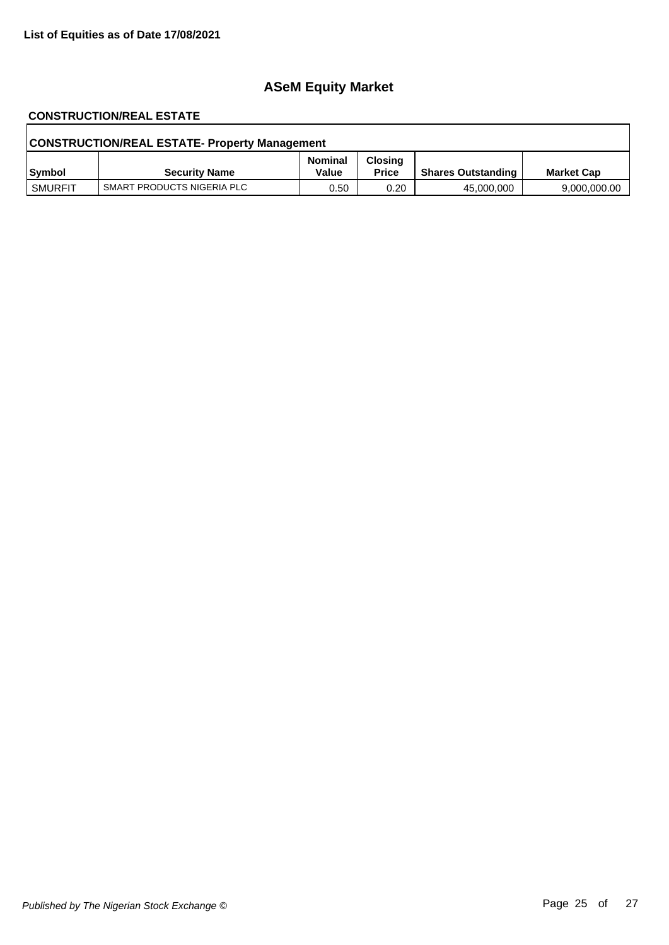# **ASeM Equity Market**

# **CONSTRUCTION/REAL ESTATE**

| <b>CONSTRUCTION/REAL ESTATE- Property Management</b> |                            |                         |                                |                           |                   |  |
|------------------------------------------------------|----------------------------|-------------------------|--------------------------------|---------------------------|-------------------|--|
| Symbol                                               | <b>Security Name</b>       | <b>Nominal</b><br>Value | <b>Closing</b><br><b>Price</b> | <b>Shares Outstanding</b> | <b>Market Cap</b> |  |
| SMURFIT                                              | SMART PRODUCTS NIGERIA PLC | 0.50                    | 0.20                           | 45,000,000                | 9,000,000.00      |  |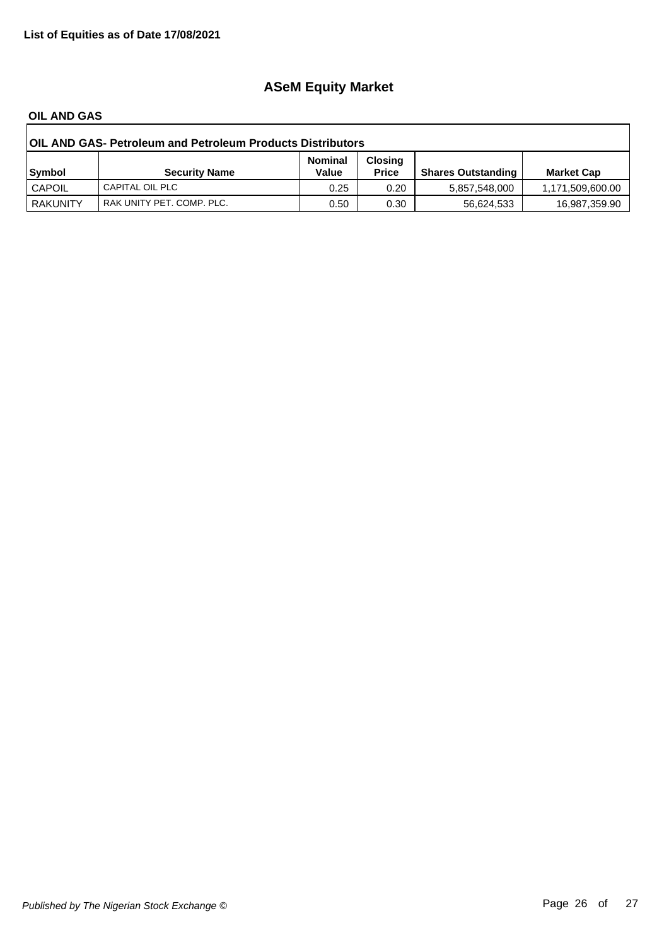# **ASeM Equity Market**

#### **OIL AND GAS**

| <b>OIL AND GAS- Petroleum and Petroleum Products Distributors</b> |                           |                         |                                |                           |                   |  |
|-------------------------------------------------------------------|---------------------------|-------------------------|--------------------------------|---------------------------|-------------------|--|
| Symbol                                                            | <b>Security Name</b>      | <b>Nominal</b><br>Value | <b>Closing</b><br><b>Price</b> | <b>Shares Outstanding</b> | <b>Market Cap</b> |  |
| CAPOIL                                                            | CAPITAL OIL PLC           | 0.25                    | 0.20                           | 5.857.548.000             | 1,171,509,600.00  |  |
| <b>RAKUNITY</b>                                                   | RAK UNITY PET. COMP. PLC. | 0.50                    | 0.30                           | 56,624,533                | 16,987,359.90     |  |